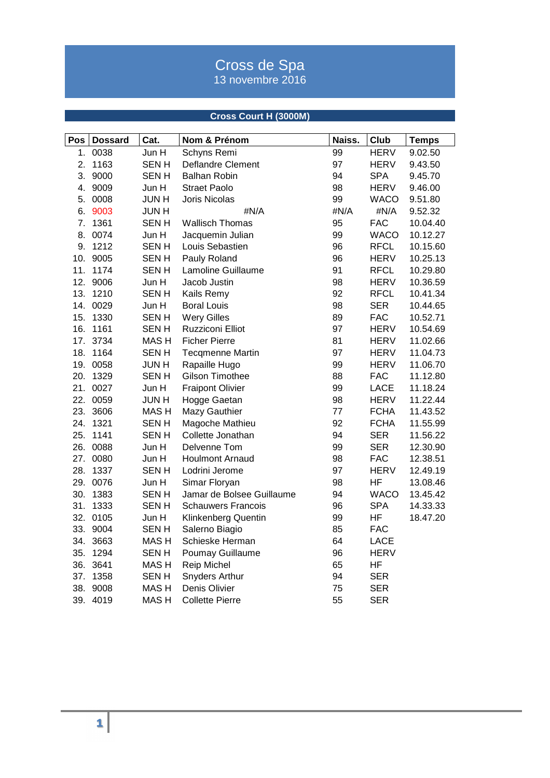## Cross de Spa 13 novembre 2016

## **Cross Court H (3000M)**

| Pos | <b>Dossard</b> | Cat.             | Nom & Prénom              | Naiss. | Club        | <b>Temps</b> |
|-----|----------------|------------------|---------------------------|--------|-------------|--------------|
| 1.  | 0038           | Jun H            | Schyns Remi               | 99     | <b>HERV</b> | 9.02.50      |
| 2.  | 1163           | <b>SENH</b>      | Deflandre Clement         | 97     | <b>HERV</b> | 9.43.50      |
| 3.  | 9000           | <b>SENH</b>      | <b>Balhan Robin</b>       | 94     | <b>SPA</b>  | 9.45.70      |
| 4.  | 9009           | Jun H            | <b>Straet Paolo</b>       | 98     | <b>HERV</b> | 9.46.00      |
|     | 5. 0008        | <b>JUNH</b>      | Joris Nicolas             | 99     | <b>WACO</b> | 9.51.80      |
| 6.  | 9003           | <b>JUNH</b>      | #N/A                      | #N/A   | #N/A        | 9.52.32      |
| 7.  | 1361           | <b>SENH</b>      | <b>Wallisch Thomas</b>    | 95     | <b>FAC</b>  | 10.04.40     |
| 8.  | 0074           | Jun H            | Jacquemin Julian          | 99     | <b>WACO</b> | 10.12.27     |
| 9.  | 1212           | <b>SENH</b>      | Louis Sebastien           | 96     | <b>RFCL</b> | 10.15.60     |
| 10. | 9005           | <b>SENH</b>      | Pauly Roland              | 96     | <b>HERV</b> | 10.25.13     |
| 11. | 1174           | <b>SENH</b>      | Lamoline Guillaume        | 91     | <b>RFCL</b> | 10.29.80     |
|     | 12. 9006       | Jun H            | Jacob Justin              | 98     | <b>HERV</b> | 10.36.59     |
|     | 13. 1210       | <b>SENH</b>      | Kails Remy                | 92     | <b>RFCL</b> | 10.41.34     |
|     | 14. 0029       | Jun H            | <b>Boral Louis</b>        | 98     | <b>SER</b>  | 10.44.65     |
| 15. | 1330           | <b>SENH</b>      | <b>Wery Gilles</b>        | 89     | <b>FAC</b>  | 10.52.71     |
| 16. | 1161           | <b>SENH</b>      | Ruzziconi Elliot          | 97     | <b>HERV</b> | 10.54.69     |
| 17. | 3734           | MAS <sub>H</sub> | <b>Ficher Pierre</b>      | 81     | <b>HERV</b> | 11.02.66     |
|     | 18. 1164       | <b>SENH</b>      | <b>Tecqmenne Martin</b>   | 97     | <b>HERV</b> | 11.04.73     |
|     | 19. 0058       | <b>JUNH</b>      | Rapaille Hugo             | 99     | <b>HERV</b> | 11.06.70     |
| 20. | 1329           | <b>SENH</b>      | <b>Gilson Timothee</b>    | 88     | <b>FAC</b>  | 11.12.80     |
|     | 21. 0027       | Jun H            | <b>Fraipont Olivier</b>   | 99     | <b>LACE</b> | 11.18.24     |
|     | 22. 0059       | <b>JUNH</b>      | Hogge Gaetan              | 98     | <b>HERV</b> | 11.22.44     |
| 23. | 3606           | MAS H            | Mazy Gauthier             | 77     | <b>FCHA</b> | 11.43.52     |
| 24. | 1321           | <b>SENH</b>      | Magoche Mathieu           | 92     | <b>FCHA</b> | 11.55.99     |
| 25. | 1141           | <b>SENH</b>      | Collette Jonathan         | 94     | <b>SER</b>  | 11.56.22     |
|     | 26. 0088       | Jun H            | Delvenne Tom              | 99     | <b>SER</b>  | 12.30.90     |
|     | 27. 0080       | Jun H            | <b>Houlmont Arnaud</b>    | 98     | <b>FAC</b>  | 12.38.51     |
| 28. | 1337           | <b>SENH</b>      | Lodrini Jerome            | 97     | <b>HERV</b> | 12.49.19     |
|     | 29. 0076       | Jun H            | Simar Floryan             | 98     | <b>HF</b>   | 13.08.46     |
| 30. | 1383           | <b>SENH</b>      | Jamar de Bolsee Guillaume | 94     | <b>WACO</b> | 13.45.42     |
| 31. | 1333           | <b>SENH</b>      | <b>Schauwers Francois</b> | 96     | <b>SPA</b>  | 14.33.33     |
|     | 32. 0105       | Jun H            | Klinkenberg Quentin       | 99     | <b>HF</b>   | 18.47.20     |
|     | 33. 9004       | <b>SENH</b>      | Salerno Biagio            | 85     | <b>FAC</b>  |              |
|     | 34. 3663       | MAS H            | Schieske Herman           | 64     | LACE        |              |
| 35. | 1294           | <b>SENH</b>      | Poumay Guillaume          | 96     | <b>HERV</b> |              |
| 36. | 3641           | <b>MASH</b>      | Reip Michel               | 65     | HF          |              |
| 37. | 1358           | <b>SENH</b>      | Snyders Arthur            | 94     | <b>SER</b>  |              |
| 38. | 9008           | <b>MASH</b>      | Denis Olivier             | 75     | <b>SER</b>  |              |
| 39. | 4019           | MAS <sub>H</sub> | <b>Collette Pierre</b>    | 55     | <b>SER</b>  |              |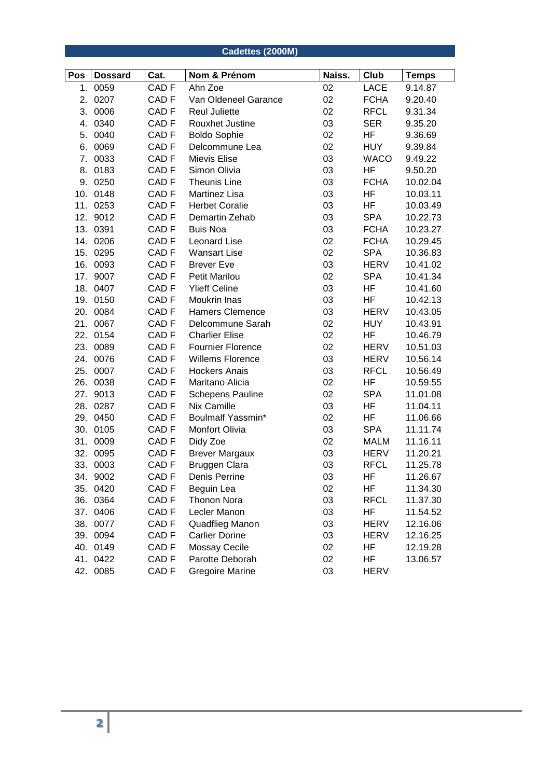|     |                |                  | Cadettes (2000M)         |        |             |              |
|-----|----------------|------------------|--------------------------|--------|-------------|--------------|
| Pos | <b>Dossard</b> | Cat.             | Nom & Prénom             | Naiss. | Club        | <b>Temps</b> |
| 1.  | 0059           | CAD <sub>F</sub> | Ahn Zoe                  | 02     | <b>LACE</b> | 9.14.87      |
| 2.  | 0207           | CAD <sub>F</sub> | Van Oldeneel Garance     | 02     | <b>FCHA</b> | 9.20.40      |
| 3.  | 0006           | CAD <sub>F</sub> | <b>Reul Juliette</b>     | 02     | <b>RFCL</b> | 9.31.34      |
| 4.  | 0340           | CAD <sub>F</sub> | Rouxhet Justine          | 03     | <b>SER</b>  | 9.35.20      |
|     | 5. 0040        | CAD <sub>F</sub> | <b>Boldo Sophie</b>      | 02     | HF          | 9.36.69      |
| 6.  | 0069           | CAD <sub>F</sub> | Delcommune Lea           | 02     | <b>HUY</b>  | 9.39.84      |
| 7.  | 0033           | CAD <sub>F</sub> | Mievis Elise             | 03     | <b>WACO</b> | 9.49.22      |
| 8.  | 0183           | CAD <sub>F</sub> | Simon Olivia             | 03     | HF          | 9.50.20      |
| 9.  | 0250           | CAD <sub>F</sub> | <b>Theunis Line</b>      | 03     | <b>FCHA</b> | 10.02.04     |
| 10. | 0148           | CAD <sub>F</sub> | Martinez Lisa            | 03     | HF          | 10.03.11     |
| 11. | 0253           | CAD <sub>F</sub> | <b>Herbet Coralie</b>    | 03     | HF          | 10.03.49     |
|     | 12. 9012       | CAD <sub>F</sub> | Demartin Zehab           | 03     | <b>SPA</b>  | 10.22.73     |
|     | 13. 0391       | CAD <sub>F</sub> | <b>Buis Noa</b>          | 03     | <b>FCHA</b> | 10.23.27     |
|     | 14. 0206       | CAD <sub>F</sub> | Leonard Lise             | 02     | <b>FCHA</b> | 10.29.45     |
|     | 15. 0295       | CAD <sub>F</sub> | <b>Wansart Lise</b>      | 02     | <b>SPA</b>  | 10.36.83     |
| 16. | 0093           | CAD <sub>F</sub> | <b>Brever Eve</b>        | 03     | <b>HERV</b> | 10.41.02     |
| 17. | 9007           | CAD <sub>F</sub> | <b>Petit Marilou</b>     | 02     | <b>SPA</b>  | 10.41.34     |
| 18. | 0407           | CAD <sub>F</sub> | <b>Ylieff Celine</b>     | 03     | HF          | 10.41.60     |
|     | 19. 0150       | CAD <sub>F</sub> | Moukrin Inas             | 03     | HF          | 10.42.13     |
| 20. | 0084           | CAD <sub>F</sub> | <b>Hamers Clemence</b>   | 03     | <b>HERV</b> | 10.43.05     |
|     | 21. 0067       | CAD <sub>F</sub> | Delcommune Sarah         | 02     | <b>HUY</b>  | 10.43.91     |
|     | 22. 0154       | CAD <sub>F</sub> | <b>Charlier Elise</b>    | 02     | HF          | 10.46.79     |
| 23. | 0089           | CAD <sub>F</sub> | <b>Fournier Florence</b> | 02     | <b>HERV</b> | 10.51.03     |
| 24. | 0076           | CAD <sub>F</sub> | <b>Willems Florence</b>  | 03     | <b>HERV</b> | 10.56.14     |
| 25. | 0007           | CAD <sub>F</sub> | <b>Hockers Anais</b>     | 03     | <b>RFCL</b> | 10.56.49     |
| 26. | 0038           | CAD <sub>F</sub> | Maritano Alicia          | 02     | HF          | 10.59.55     |
| 27. | 9013           | CAD <sub>F</sub> | <b>Schepens Pauline</b>  | 02     | <b>SPA</b>  | 11.01.08     |
| 28. | 0287           | CAD <sub>F</sub> | Nix Camille              | 03     | ΗF          | 11.04.11     |
|     | 29. 0450       | CAD <sub>F</sub> | Boulmalf Yassmin*        | 02     | ΗF          | 11.06.66     |
|     | 30. 0105       | CAD <sub>F</sub> | Monfort Olivia           | 03     | <b>SPA</b>  | 11.11.74     |
| 31. | 0009           | CAD <sub>F</sub> | Didy Zoe                 | 02     | <b>MALM</b> | 11.16.11     |
|     | 32. 0095       | CAD <sub>F</sub> | <b>Brever Margaux</b>    | 03     | <b>HERV</b> | 11.20.21     |
|     | 33. 0003       | CAD F            | Bruggen Clara            | 03     | <b>RFCL</b> | 11.25.78     |
|     | 34. 9002       | CAD <sub>F</sub> | Denis Perrine            | 03     | ΗF          | 11.26.67     |
|     | 35. 0420       | CAD F            | Beguin Lea               | 02     | HF          | 11.34.30     |
|     | 36. 0364       | CAD <sub>F</sub> | Thonon Nora              | 03     | <b>RFCL</b> | 11.37.30     |
|     | 37. 0406       | CAD <sub>F</sub> | Lecler Manon             | 03     | ΗF          | 11.54.52     |
|     | 38. 0077       | CAD <sub>F</sub> | Quadflieg Manon          | 03     | <b>HERV</b> | 12.16.06     |
|     | 39. 0094       | CAD <sub>F</sub> | <b>Carlier Dorine</b>    | 03     | <b>HERV</b> | 12.16.25     |
|     | 40. 0149       | CAD <sub>F</sub> | <b>Mossay Cecile</b>     | 02     | HF          | 12.19.28     |
|     | 41. 0422       | CAD F            | Parotte Deborah          | 02     | HF          | 13.06.57     |
|     | 42. 0085       | CAD <sub>F</sub> | <b>Gregoire Marine</b>   | 03     | <b>HERV</b> |              |
|     |                |                  |                          |        |             |              |
|     |                |                  |                          |        |             |              |
|     |                |                  |                          |        |             |              |
|     |                |                  |                          |        |             |              |
|     |                |                  |                          |        |             |              |
|     |                |                  |                          |        |             |              |
|     |                |                  |                          |        |             |              |
|     |                |                  |                          |        |             |              |
|     |                |                  |                          |        |             |              |
|     |                |                  |                          |        |             |              |
|     |                |                  |                          |        |             |              |
|     | 2              |                  |                          |        |             |              |
|     |                |                  |                          |        |             |              |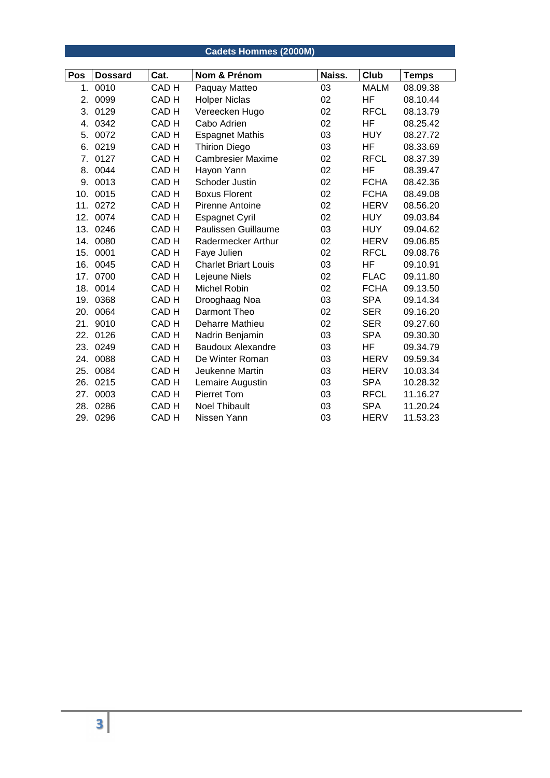## **Cadets Hommes (2000M)**

| Pos | <b>Dossard</b> | Cat.             | Nom & Prénom                | Naiss. | Club        | <b>Temps</b> |
|-----|----------------|------------------|-----------------------------|--------|-------------|--------------|
| 1.  | 0010           | CAD <sub>H</sub> | Paquay Matteo               | 03     | <b>MALM</b> | 08.09.38     |
| 2.  | 0099           | CAD H            | <b>Holper Niclas</b>        | 02     | <b>HF</b>   | 08.10.44     |
| 3.  | 0129           | CAD <sub>H</sub> | Vereecken Hugo              | 02     | <b>RFCL</b> | 08.13.79     |
| 4.  | 0342           | CAD <sub>H</sub> | Cabo Adrien                 | 02     | <b>HF</b>   | 08.25.42     |
| 5.  | 0072           | CAD H            | <b>Espagnet Mathis</b>      | 03     | <b>HUY</b>  | 08.27.72     |
| 6.  | 0219           | CAD <sub>H</sub> | <b>Thirion Diego</b>        | 03     | HF          | 08.33.69     |
| 7.  | 0127           | CAD <sub>H</sub> | <b>Cambresier Maxime</b>    | 02     | <b>RFCL</b> | 08.37.39     |
| 8.  | 0044           | CAD <sub>H</sub> | Hayon Yann                  | 02     | HF          | 08.39.47     |
| 9.  | 0013           | CAD <sub>H</sub> | Schoder Justin              | 02     | <b>FCHA</b> | 08.42.36     |
| 10. | 0015           | CAD <sub>H</sub> | <b>Boxus Florent</b>        | 02     | <b>FCHA</b> | 08.49.08     |
| 11. | 0272           | CAD H            | Pirenne Antoine             | 02     | <b>HERV</b> | 08.56.20     |
| 12. | 0074           | CAD <sub>H</sub> | <b>Espagnet Cyril</b>       | 02     | <b>HUY</b>  | 09.03.84     |
| 13. | 0246           | CAD <sub>H</sub> | Paulissen Guillaume         | 03     | <b>HUY</b>  | 09.04.62     |
| 14. | 0080           | CAD H            | Radermecker Arthur          | 02     | <b>HERV</b> | 09.06.85     |
| 15. | 0001           | CAD <sub>H</sub> | Faye Julien                 | 02     | <b>RFCL</b> | 09.08.76     |
| 16. | 0045           | CAD <sub>H</sub> | <b>Charlet Briart Louis</b> | 03     | HF          | 09.10.91     |
| 17. | 0700           | CAD <sub>H</sub> | Lejeune Niels               | 02     | <b>FLAC</b> | 09.11.80     |
| 18. | 0014           | CAD <sub>H</sub> | Michel Robin                | 02     | <b>FCHA</b> | 09.13.50     |
| 19. | 0368           | CAD H            | Drooghaag Noa               | 03     | <b>SPA</b>  | 09.14.34     |
| 20. | 0064           | CAD <sub>H</sub> | Darmont Theo                | 02     | <b>SER</b>  | 09.16.20     |
| 21. | 9010           | CAD <sub>H</sub> | Deharre Mathieu             | 02     | <b>SER</b>  | 09.27.60     |
| 22. | 0126           | CAD <sub>H</sub> | Nadrin Benjamin             | 03     | <b>SPA</b>  | 09.30.30     |
| 23. | 0249           | CAD <sub>H</sub> | <b>Baudoux Alexandre</b>    | 03     | HF          | 09.34.79     |
| 24. | 0088           | CAD <sub>H</sub> | De Winter Roman             | 03     | <b>HERV</b> | 09.59.34     |
| 25. | 0084           | CAD <sub>H</sub> | Jeukenne Martin             | 03     | <b>HERV</b> | 10.03.34     |
| 26. | 0215           | CAD <sub>H</sub> | Lemaire Augustin            | 03     | <b>SPA</b>  | 10.28.32     |
| 27. | 0003           | CAD <sub>H</sub> | Pierret Tom                 | 03     | <b>RFCL</b> | 11.16.27     |
| 28. | 0286           | CAD H            | <b>Noel Thibault</b>        | 03     | <b>SPA</b>  | 11.20.24     |
| 29. | 0296           | CAD <sub>H</sub> | Nissen Yann                 | 03     | <b>HERV</b> | 11.53.23     |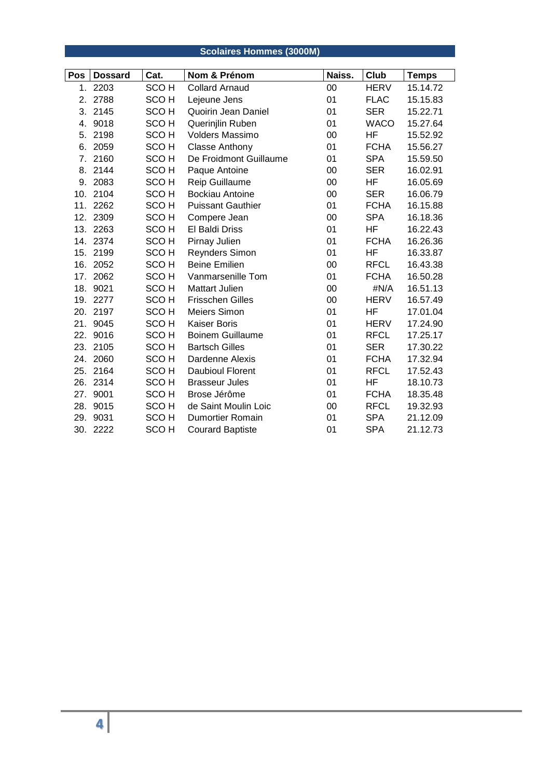## **Scolaires Hommes (3000M)**

| Pos | <b>Dossard</b> | Cat.             | Nom & Prénom             | Naiss. | Club        | <b>Temps</b> |
|-----|----------------|------------------|--------------------------|--------|-------------|--------------|
| 1.  | 2203           | SCO <sub>H</sub> | <b>Collard Arnaud</b>    | 00     | <b>HERV</b> | 15.14.72     |
| 2.  | 2788           | SCO <sub>H</sub> | Lejeune Jens             | 01     | <b>FLAC</b> | 15.15.83     |
| 3.  | 2145           | SCO <sub>H</sub> | Quoirin Jean Daniel      | 01     | <b>SER</b>  | 15.22.71     |
| 4.  | 9018           | SCO <sub>H</sub> | Querinjlin Ruben         | 01     | <b>WACO</b> | 15.27.64     |
| 5.  | 2198           | SCO <sub>H</sub> | Volders Massimo          | $00\,$ | <b>HF</b>   | 15.52.92     |
| 6.  | 2059           | SCO <sub>H</sub> | <b>Classe Anthony</b>    | 01     | <b>FCHA</b> | 15.56.27     |
| 7.  | 2160           | SCO <sub>H</sub> | De Froidmont Guillaume   | 01     | <b>SPA</b>  | 15.59.50     |
| 8.  | 2144           | SCO <sub>H</sub> | Paque Antoine            | 00     | <b>SER</b>  | 16.02.91     |
| 9.  | 2083           | SCO <sub>H</sub> | Reip Guillaume           | 00     | <b>HF</b>   | 16.05.69     |
| 10. | 2104           | SCO <sub>H</sub> | <b>Bockiau Antoine</b>   | 00     | <b>SER</b>  | 16.06.79     |
| 11. | 2262           | SCO <sub>H</sub> | <b>Puissant Gauthier</b> | 01     | <b>FCHA</b> | 16.15.88     |
| 12. | 2309           | SCO <sub>H</sub> | Compere Jean             | 00     | <b>SPA</b>  | 16.18.36     |
| 13. | 2263           | SCO <sub>H</sub> | <b>El Baldi Driss</b>    | 01     | <b>HF</b>   | 16.22.43     |
| 14. | 2374           | SCO <sub>H</sub> | Pirnay Julien            | 01     | <b>FCHA</b> | 16.26.36     |
| 15. | 2199           | SCO <sub>H</sub> | Reynders Simon           | 01     | HF.         | 16.33.87     |
| 16. | 2052           | SCO <sub>H</sub> | <b>Beine Emilien</b>     | 00     | <b>RFCL</b> | 16.43.38     |
| 17. | 2062           | SCO <sub>H</sub> | Vanmarsenille Tom        | 01     | <b>FCHA</b> | 16.50.28     |
| 18. | 9021           | SCO <sub>H</sub> | Mattart Julien           | 00     | #N/A        | 16.51.13     |
|     | 19. 2277       | SCO <sub>H</sub> | <b>Frisschen Gilles</b>  | 00     | <b>HERV</b> | 16.57.49     |
| 20. | 2197           | SCO <sub>H</sub> | Meiers Simon             | 01     | <b>HF</b>   | 17.01.04     |
| 21. | 9045           | SCO <sub>H</sub> | Kaiser Boris             | 01     | <b>HERV</b> | 17.24.90     |
| 22. | 9016           | SCO <sub>H</sub> | <b>Boinem Guillaume</b>  | 01     | <b>RFCL</b> | 17.25.17     |
| 23. | 2105           | SCO <sub>H</sub> | <b>Bartsch Gilles</b>    | 01     | <b>SER</b>  | 17.30.22     |
| 24. | 2060           | SCO <sub>H</sub> | Dardenne Alexis          | 01     | <b>FCHA</b> | 17.32.94     |
| 25. | 2164           | SCO <sub>H</sub> | <b>Daubioul Florent</b>  | 01     | <b>RFCL</b> | 17.52.43     |
| 26. | 2314           | SCO <sub>H</sub> | <b>Brasseur Jules</b>    | 01     | HF          | 18.10.73     |
| 27. | 9001           | SCO <sub>H</sub> | Brose Jérôme             | 01     | <b>FCHA</b> | 18.35.48     |
| 28. | 9015           | SCO <sub>H</sub> | de Saint Moulin Loic     | 00     | <b>RFCL</b> | 19.32.93     |
| 29. | 9031           | SCO <sub>H</sub> | <b>Dumortier Romain</b>  | 01     | <b>SPA</b>  | 21.12.09     |
|     | 30. 2222       | SCO <sub>H</sub> | <b>Courard Baptiste</b>  | 01     | <b>SPA</b>  | 21.12.73     |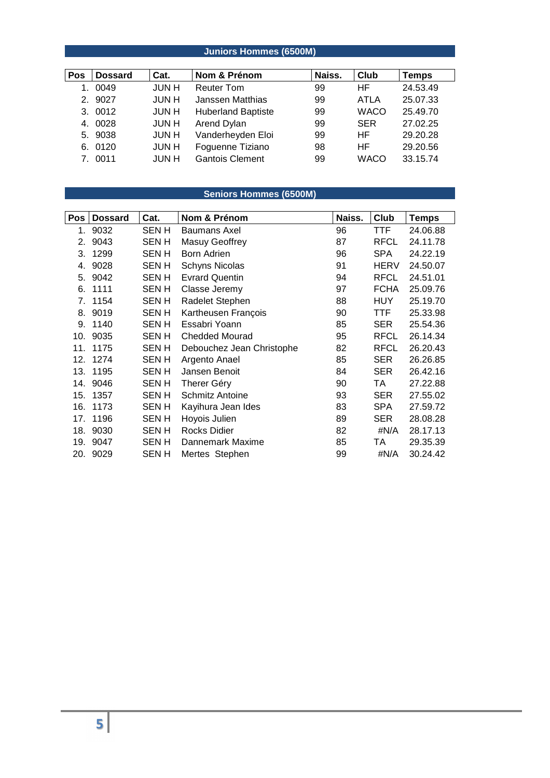## **Juniors Hommes (6500M)**

| Pos | <b>Dossard</b> | Cat.         | Nom & Prénom              | Naiss. | Club        | <b>Temps</b> |
|-----|----------------|--------------|---------------------------|--------|-------------|--------------|
| 1.  | 0049           | <b>JUN H</b> | <b>Reuter Tom</b>         | 99     | HF.         | 24.53.49     |
|     | 2. 9027        | <b>JUN H</b> | Janssen Matthias          | 99     | ATLA        | 25.07.33     |
|     | 3. 0012        | JUN H        | <b>Huberland Baptiste</b> | 99     | <b>WACO</b> | 25.49.70     |
|     | 4. 0028        | <b>JUNH</b>  | Arend Dylan               | 99     | <b>SER</b>  | 27.02.25     |
|     | 5. 9038        | JUN H        | Vanderheyden Eloi         | 99     | HF.         | 29.20.28     |
|     | 6. 0120        | JUN H        | Foguenne Tiziano          | 98     | HF.         | 29.20.56     |
|     | 7. 0011        | <b>JUN H</b> | <b>Gantois Clement</b>    | 99     | <b>WACO</b> | 33.15.74     |

## **Seniors Hommes (6500M)**

| Pos | <b>Dossard</b> | Cat.        | Nom & Prénom              | Naiss. | Club        | <b>Temps</b> |
|-----|----------------|-------------|---------------------------|--------|-------------|--------------|
| 1.  | 9032           | SEN H       | Baumans Axel              | 96     | TTF         | 24.06.88     |
| 2.  | 9043           | SEN H       | Masuy Geoffrey            | 87     | <b>RFCL</b> | 24.11.78     |
| 3.  | 1299           | SEN H       | Born Adrien               | 96     | <b>SPA</b>  | 24.22.19     |
| 4.  | 9028           | SEN H       | <b>Schyns Nicolas</b>     | 91     | <b>HERV</b> | 24.50.07     |
| 5.  | 9042           | SEN H       | <b>Evrard Quentin</b>     | 94     | <b>RFCL</b> | 24.51.01     |
| 6.  | 1111           | SEN H       | Classe Jeremy             | 97     | <b>FCHA</b> | 25.09.76     |
| 7.  | 1154           | SEN H       | Radelet Stephen           | 88     | <b>HUY</b>  | 25.19.70     |
| 8.  | 9019           | SEN H       | Kartheusen François       | 90     | TTF         | 25.33.98     |
| 9.  | 1140           | SEN H       | Essabri Yoann             | 85     | <b>SER</b>  | 25.54.36     |
| 10. | 9035           | SEN H       | <b>Chedded Mourad</b>     | 95     | <b>RFCL</b> | 26.14.34     |
| 11. | 1175           | SEN H       | Debouchez Jean Christophe | 82     | <b>RFCL</b> | 26.20.43     |
| 12. | 1274           | SEN H       | Argento Anael             | 85     | <b>SER</b>  | 26.26.85     |
| 13. | 1195           | SEN H       | Jansen Benoit             | 84     | <b>SER</b>  | 26.42.16     |
| 14. | 9046           | SEN H       | Therer Géry               | 90     | TA          | 27.22.88     |
| 15. | 1357           | <b>SENH</b> | <b>Schmitz Antoine</b>    | 93     | <b>SER</b>  | 27.55.02     |
| 16. | 1173           | <b>SENH</b> | Kayihura Jean Ides        | 83     | <b>SPA</b>  | 27.59.72     |
| 17. | 1196           | SEN H       | Hoyois Julien             | 89     | <b>SER</b>  | 28.08.28     |
| 18. | 9030           | SEN H       | <b>Rocks Didier</b>       | 82     | #N/A        | 28.17.13     |
| 19. | 9047           | <b>SENH</b> | Dannemark Maxime          | 85     | TA          | 29.35.39     |
| 20. | 9029           | SEN H       | Mertes Stephen            | 99     | #N/A        | 30.24.42     |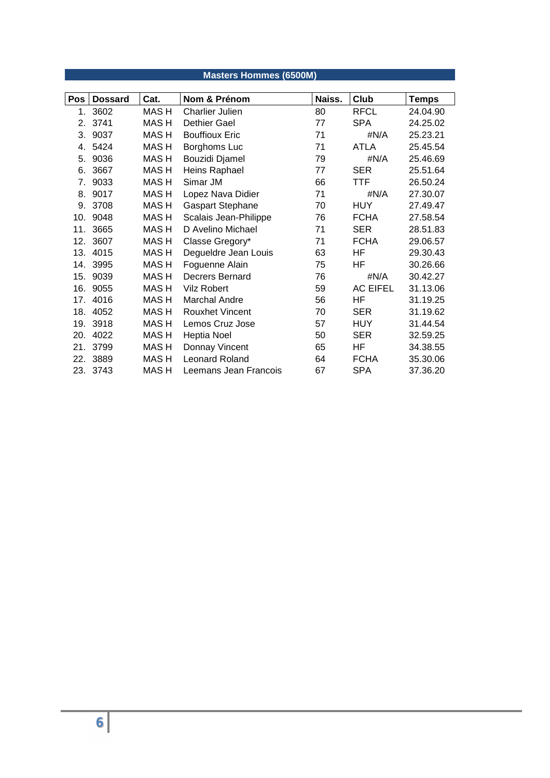|     | <b>Masters Hommes (6500M)</b> |             |                         |        |                 |              |  |  |  |  |
|-----|-------------------------------|-------------|-------------------------|--------|-----------------|--------------|--|--|--|--|
|     |                               |             |                         |        |                 |              |  |  |  |  |
| Pos | <b>Dossard</b>                | Cat.        | Nom & Prénom            | Naiss. | Club            | <b>Temps</b> |  |  |  |  |
| 1.  | 3602                          | <b>MASH</b> | <b>Charlier Julien</b>  | 80     | <b>RFCL</b>     | 24.04.90     |  |  |  |  |
| 2.  | 3741                          | <b>MASH</b> | Dethier Gael            | 77     | <b>SPA</b>      | 24.25.02     |  |  |  |  |
| 3.  | 9037                          | <b>MASH</b> | <b>Bouffioux Eric</b>   | 71     | #N/A            | 25.23.21     |  |  |  |  |
| 4.  | 5424                          | MAS H       | Borghoms Luc            | 71     | <b>ATLA</b>     | 25.45.54     |  |  |  |  |
| 5.  | 9036                          | <b>MASH</b> | Bouzidi Djamel          | 79     | #N/A            | 25.46.69     |  |  |  |  |
| 6.  | 3667                          | <b>MASH</b> | Heins Raphael           | 77     | <b>SER</b>      | 25.51.64     |  |  |  |  |
| 7.  | 9033                          | <b>MASH</b> | Simar JM                | 66     | TTF             | 26.50.24     |  |  |  |  |
| 8.  | 9017                          | <b>MASH</b> | Lopez Nava Didier       | 71     | #N/A            | 27.30.07     |  |  |  |  |
| 9.  | 3708                          | MAS H       | <b>Gaspart Stephane</b> | 70     | <b>HUY</b>      | 27.49.47     |  |  |  |  |
| 10. | 9048                          | MAS H       | Scalais Jean-Philippe   | 76     | <b>FCHA</b>     | 27.58.54     |  |  |  |  |
| 11. | 3665                          | <b>MASH</b> | D Avelino Michael       | 71     | <b>SER</b>      | 28.51.83     |  |  |  |  |
| 12. | 3607                          | <b>MASH</b> | Classe Gregory*         | 71     | <b>FCHA</b>     | 29.06.57     |  |  |  |  |
| 13. | 4015                          | <b>MASH</b> | Degueldre Jean Louis    | 63     | HF              | 29.30.43     |  |  |  |  |
|     | 14. 3995                      | MAS H       | Foguenne Alain          | 75     | HF              | 30.26.66     |  |  |  |  |
| 15. | 9039                          | <b>MASH</b> | Decrers Bernard         | 76     | #N/A            | 30.42.27     |  |  |  |  |
| 16. | 9055                          | MAS H       | <b>Vilz Robert</b>      | 59     | <b>AC EIFEL</b> | 31.13.06     |  |  |  |  |
| 17. | 4016                          | MAS H       | Marchal Andre           | 56     | HF              | 31.19.25     |  |  |  |  |
| 18. | 4052                          | MAS H       | <b>Rouxhet Vincent</b>  | 70     | <b>SER</b>      | 31.19.62     |  |  |  |  |
| 19. | 3918                          | MAS H       | Lemos Cruz Jose         | 57     | <b>HUY</b>      | 31.44.54     |  |  |  |  |
| 20. | 4022                          | <b>MASH</b> | Heptia Noel             | 50     | <b>SER</b>      | 32.59.25     |  |  |  |  |
| 21. | 3799                          | MAS H       | Donnay Vincent          | 65     | HF              | 34.38.55     |  |  |  |  |
| 22. | 3889                          | <b>MASH</b> | <b>Leonard Roland</b>   | 64     | <b>FCHA</b>     | 35.30.06     |  |  |  |  |
|     | 23. 3743                      | <b>MASH</b> | Leemans Jean Francois   | 67     | <b>SPA</b>      | 37.36.20     |  |  |  |  |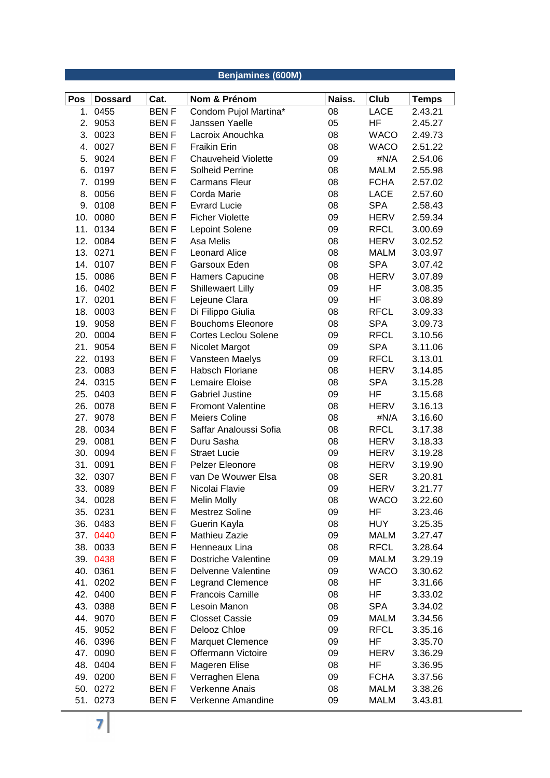|     | Benjamines (600M)         |             |                                         |        |             |                         |  |  |
|-----|---------------------------|-------------|-----------------------------------------|--------|-------------|-------------------------|--|--|
|     |                           | Cat.        |                                         | Naiss. | <b>Club</b> |                         |  |  |
| Pos | <b>Dossard</b><br>1. 0455 | <b>BENF</b> | Nom & Prénom                            | 08     | <b>LACE</b> | <b>Temps</b><br>2.43.21 |  |  |
| 2.  | 9053                      | <b>BENF</b> | Condom Pujol Martina*<br>Janssen Yaelle | 05     | <b>HF</b>   | 2.45.27                 |  |  |
| 3.  | 0023                      | <b>BENF</b> | Lacroix Anouchka                        | 08     | <b>WACO</b> | 2.49.73                 |  |  |
| 4.  | 0027                      | <b>BENF</b> | <b>Fraikin Erin</b>                     | 08     | <b>WACO</b> | 2.51.22                 |  |  |
| 5.  | 9024                      | <b>BENF</b> | <b>Chauveheid Violette</b>              | 09     | #N/A        | 2.54.06                 |  |  |
| 6.  | 0197                      | <b>BENF</b> | <b>Solheid Perrine</b>                  | 08     | <b>MALM</b> | 2.55.98                 |  |  |
| 7.  | 0199                      | <b>BENF</b> | <b>Carmans Fleur</b>                    | 08     | <b>FCHA</b> | 2.57.02                 |  |  |
| 8.  | 0056                      | <b>BENF</b> | Corda Marie                             | 08     | <b>LACE</b> | 2.57.60                 |  |  |
| 9.  | 0108                      | <b>BENF</b> | <b>Evrard Lucie</b>                     | 08     | <b>SPA</b>  | 2.58.43                 |  |  |
| 10. | 0080                      | <b>BENF</b> | <b>Ficher Violette</b>                  | 09     | <b>HERV</b> | 2.59.34                 |  |  |
| 11. | 0134                      | <b>BENF</b> | Lepoint Solene                          | 09     | <b>RFCL</b> | 3.00.69                 |  |  |
| 12. | 0084                      | <b>BENF</b> | Asa Melis                               | 08     | HERV        | 3.02.52                 |  |  |
|     | 13. 0271                  | <b>BENF</b> | <b>Leonard Alice</b>                    | 08     | <b>MALM</b> | 3.03.97                 |  |  |
|     | 14. 0107                  | <b>BENF</b> | Garsoux Eden                            | 08     | <b>SPA</b>  | 3.07.42                 |  |  |
| 15. | 0086                      | <b>BENF</b> | <b>Hamers Capucine</b>                  | 08     | <b>HERV</b> | 3.07.89                 |  |  |
| 16. | 0402                      | <b>BENF</b> | Shillewaert Lilly                       | 09     | HF          | 3.08.35                 |  |  |
| 17. | 0201                      | <b>BENF</b> | Lejeune Clara                           | 09     | <b>HF</b>   | 3.08.89                 |  |  |
| 18. | 0003                      | <b>BENF</b> | Di Filippo Giulia                       | 08     | <b>RFCL</b> | 3.09.33                 |  |  |
|     | 19. 9058                  | <b>BENF</b> | <b>Bouchoms Eleonore</b>                | 08     | <b>SPA</b>  | 3.09.73                 |  |  |
| 20. | 0004                      | <b>BENF</b> | <b>Cortes Leclou Solene</b>             | 09     | <b>RFCL</b> | 3.10.56                 |  |  |
| 21. | 9054                      | <b>BENF</b> | Nicolet Margot                          | 09     | <b>SPA</b>  | 3.11.06                 |  |  |
| 22. | 0193                      | <b>BENF</b> | Vansteen Maelys                         | 09     | <b>RFCL</b> | 3.13.01                 |  |  |
| 23. | 0083                      | <b>BENF</b> | <b>Habsch Floriane</b>                  | 08     | <b>HERV</b> | 3.14.85                 |  |  |
| 24. | 0315                      | <b>BENF</b> | Lemaire Eloise                          | 08     | <b>SPA</b>  | 3.15.28                 |  |  |
| 25. | 0403                      | <b>BENF</b> | <b>Gabriel Justine</b>                  | 09     | HF          | 3.15.68                 |  |  |
| 26. | 0078                      | <b>BENF</b> | <b>Fromont Valentine</b>                | 08     | <b>HERV</b> | 3.16.13                 |  |  |
| 27. | 9078                      | <b>BENF</b> | Meiers Coline                           | 08     | #N/A        | 3.16.60                 |  |  |
|     | 28. 0034                  | <b>BENF</b> | Saffar Analoussi Sofia                  | 08     | <b>RFCL</b> | 3.17.38                 |  |  |
|     | 29. 0081                  | <b>BENF</b> | Duru Sasha                              | 08     | <b>HERV</b> | 3.18.33                 |  |  |
| 30. | 0094                      | <b>BENF</b> | <b>Straet Lucie</b>                     | 09     | <b>HERV</b> | 3.19.28                 |  |  |
| 31. | 0091                      | <b>BENF</b> | Pelzer Eleonore                         | 08     | <b>HERV</b> | 3.19.90                 |  |  |
|     | 32. 0307                  | <b>BENF</b> | van De Wouwer Elsa                      | 08     | <b>SER</b>  | 3.20.81                 |  |  |
|     | 33. 0089                  | <b>BENF</b> | Nicolai Flavie                          | 09     | <b>HERV</b> | 3.21.77                 |  |  |
|     | 34. 0028                  | <b>BENF</b> | Melin Molly                             | 08     | <b>WACO</b> | 3.22.60                 |  |  |
|     | 35. 0231                  | <b>BENF</b> | Mestrez Soline                          | 09     | HF          | 3.23.46                 |  |  |
|     | 36. 0483                  | <b>BENF</b> | Guerin Kayla                            | 08     | <b>HUY</b>  | 3.25.35                 |  |  |
|     | 37. 0440                  | <b>BENF</b> | Mathieu Zazie                           | 09     | MALM        | 3.27.47                 |  |  |
|     | 38. 0033                  | <b>BENF</b> | Henneaux Lina                           | 08     | <b>RFCL</b> | 3.28.64                 |  |  |
|     | 39. 0438                  | <b>BENF</b> | <b>Dostriche Valentine</b>              | 09     | MALM        | 3.29.19                 |  |  |
|     | 40. 0361                  | <b>BENF</b> | Delvenne Valentine                      | 09     | <b>WACO</b> | 3.30.62                 |  |  |
|     | 41. 0202                  | <b>BENF</b> | <b>Legrand Clemence</b>                 | 08     | HF          | 3.31.66                 |  |  |
|     | 42. 0400                  | <b>BENF</b> | <b>Francois Camille</b>                 | 80     | ΗF          | 3.33.02                 |  |  |
|     | 43. 0388                  | BEN F       | Lesoin Manon                            | 08     | <b>SPA</b>  | 3.34.02                 |  |  |
|     | 44. 9070                  | <b>BENF</b> | <b>Closset Cassie</b>                   | 09     | MALM        | 3.34.56                 |  |  |
|     | 45. 9052                  | <b>BENF</b> | Delooz Chloe                            | 09     | <b>RFCL</b> | 3.35.16                 |  |  |
| 46. | 0396                      | <b>BENF</b> | Marquet Clemence                        | 09     | HF          | 3.35.70                 |  |  |
| 47. | 0090                      | <b>BENF</b> | Offermann Victoire                      | 09     | HERV        | 3.36.29                 |  |  |
|     | 48. 0404                  | <b>BENF</b> | Mageren Elise                           | 08     | ΗF          | 3.36.95                 |  |  |
|     | 49. 0200                  | <b>BENF</b> | Verraghen Elena                         | 09     | <b>FCHA</b> | 3.37.56                 |  |  |
|     | 50. 0272                  | <b>BENF</b> | Verkenne Anais                          | 08     | <b>MALM</b> | 3.38.26                 |  |  |
|     | 51. 0273                  | BEN F       | Verkenne Amandine                       | 09     | MALM        | 3.43.81                 |  |  |
|     |                           |             |                                         |        |             |                         |  |  |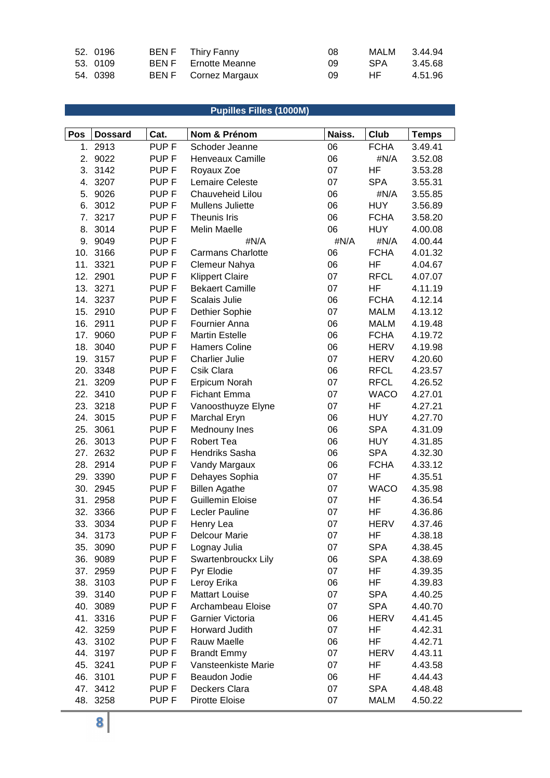| 52. 0196 | BEN F Thiry Fanny    | -08 | MALM       | 3.44.94 |
|----------|----------------------|-----|------------|---------|
| 53. 0109 | BEN F Ernotte Meanne | 09  | <b>SPA</b> | 3.45.68 |
| 54. 0398 | BEN F Cornez Margaux | 09  | HE         | 4.51.96 |

# **Pupilles Filles (1000M)**

| Pos | <b>Dossard</b>       | Cat.                                 | Nom & Prénom                    | Naiss.   | Club                      | <b>Temps</b>       |
|-----|----------------------|--------------------------------------|---------------------------------|----------|---------------------------|--------------------|
|     | 1. 2913              | PUP <sub>F</sub>                     | Schoder Jeanne                  | 06       | <b>FCHA</b>               | 3.49.41            |
| 2.  | 9022                 | PUP <sub>F</sub>                     | Henveaux Camille                | 06       | #N/A                      | 3.52.08            |
| 3.  | 3142                 | PUP <sub>F</sub>                     | Royaux Zoe                      | 07       | HF                        | 3.53.28            |
|     | 4. 3207              | PUP <sub>F</sub>                     | Lemaire Celeste                 | 07       | <b>SPA</b>                | 3.55.31            |
|     | 5. 9026              | PUP <sub>F</sub>                     | Chauveheid Lilou                | 06       | #N/A                      | 3.55.85            |
|     | 6. 3012              | PUP <sub>F</sub>                     | Mullens Juliette                | 06       | <b>HUY</b>                | 3.56.89            |
|     | 7. 3217              | PUP <sub>F</sub>                     | Theunis Iris                    | 06       | <b>FCHA</b>               | 3.58.20            |
|     | 8. 3014              | PUP <sub>F</sub>                     | Melin Maelle                    | 06       | <b>HUY</b>                | 4.00.08            |
|     | 9. 9049              | PUP <sub>F</sub>                     | #N/A                            | #N/A     | #N/A                      | 4.00.44            |
|     | 10. 3166             | PUP <sub>F</sub>                     | <b>Carmans Charlotte</b>        | 06       | <b>FCHA</b>               | 4.01.32            |
|     | 11. 3321             | PUP <sub>F</sub>                     | Clemeur Nahya                   | 06       | HF                        | 4.04.67            |
|     | 12. 2901             | PUP <sub>F</sub>                     | <b>Klippert Claire</b>          | 07       | <b>RFCL</b>               | 4.07.07            |
|     | 13. 3271             | PUP <sub>F</sub>                     | <b>Bekaert Camille</b>          | 07       | HF                        | 4.11.19            |
|     | 14. 3237             | PUP <sub>F</sub>                     | Scalais Julie                   | 06       | <b>FCHA</b>               | 4.12.14            |
|     | 15. 2910             | PUP <sub>F</sub>                     | Dethier Sophie                  | 07       | <b>MALM</b>               | 4.13.12            |
|     | 16. 2911             | PUP <sub>F</sub>                     | Fournier Anna                   | 06       | <b>MALM</b>               | 4.19.48            |
| 17. | 9060                 | PUP <sub>F</sub>                     | <b>Martin Estelle</b>           | 06       | <b>FCHA</b>               | 4.19.72            |
|     | 18. 3040             | PUP <sub>F</sub>                     | <b>Hamers Coline</b>            | 06       | <b>HERV</b>               | 4.19.98            |
|     | 19. 3157             | PUP <sub>F</sub>                     | <b>Charlier Julie</b>           | 07       | <b>HERV</b>               | 4.20.60            |
|     | 20. 3348             | PUP <sub>F</sub>                     | Csik Clara                      | 06       | <b>RFCL</b>               | 4.23.57            |
| 21. | 3209                 | PUP <sub>F</sub>                     | Erpicum Norah                   | 07       | <b>RFCL</b>               | 4.26.52            |
|     | 22. 3410             | PUP <sub>F</sub>                     | <b>Fichant Emma</b>             | 07       | <b>WACO</b>               | 4.27.01            |
|     | 23. 3218             | PUP <sub>F</sub>                     | Vanoosthuyze Elyne              | 07       | HF                        | 4.27.21            |
|     | 24. 3015             | PUP <sub>F</sub>                     | Marchal Eryn                    | 06       | <b>HUY</b>                | 4.27.70            |
| 25. | 3061                 | PUP <sub>F</sub>                     | Mednouny Ines                   | 06       | <b>SPA</b>                | 4.31.09            |
|     | 26. 3013             | PUP <sub>F</sub>                     | <b>Robert Tea</b>               | 06       | <b>HUY</b>                | 4.31.85            |
|     | 27. 2632<br>28. 2914 | PUP <sub>F</sub><br>PUP <sub>F</sub> | Hendriks Sasha                  | 06<br>06 | <b>SPA</b><br><b>FCHA</b> | 4.32.30            |
|     | 29. 3390             | PUP <sub>F</sub>                     | Vandy Margaux<br>Dehayes Sophia | 07       | HF                        | 4.33.12<br>4.35.51 |
|     | 30. 2945             | PUP <sub>F</sub>                     | <b>Billen Agathe</b>            | 07       | <b>WACO</b>               | 4.35.98            |
|     | 31. 2958             | PUP <sub>F</sub>                     | <b>Guillemin Eloise</b>         | 07       | HF                        | 4.36.54            |
|     | 32. 3366             | PUP <sub>F</sub>                     | Lecler Pauline                  | 07       | HF                        | 4.36.86            |
| 33. | 3034                 | PUP <sub>F</sub>                     | Henry Lea                       | 07       | <b>HERV</b>               | 4.37.46            |
|     | 34. 3173             | PUP <sub>F</sub>                     | Delcour Marie                   | 07       | HF                        | 4.38.18            |
|     | 35. 3090             | PUP <sub>F</sub>                     | Lognay Julia                    | 07       | <b>SPA</b>                | 4.38.45            |
|     | 36. 9089             | PUP <sub>F</sub>                     | Swartenbrouckx Lily             | 06       | <b>SPA</b>                | 4.38.69            |
|     | 37. 2959             | PUP <sub>F</sub>                     | Pyr Elodie                      | 07       | HF                        | 4.39.35            |
|     | 38. 3103             | PUP <sub>F</sub>                     | Leroy Erika                     | 06       | HF                        | 4.39.83            |
|     | 39. 3140             | PUP <sub>F</sub>                     | <b>Mattart Louise</b>           | 07       | SPA                       | 4.40.25            |
|     | 40. 3089             | PUP <sub>F</sub>                     | Archambeau Eloise               | 07       | <b>SPA</b>                | 4.40.70            |
|     | 41. 3316             | PUP <sub>F</sub>                     | Garnier Victoria                | 06       | <b>HERV</b>               | 4.41.45            |
|     | 42. 3259             | PUP <sub>F</sub>                     | Horward Judith                  | 07       | HF                        | 4.42.31            |
|     | 43. 3102             | PUP <sub>F</sub>                     | Rauw Maelle                     | 06       | HF                        | 4.42.71            |
|     | 44. 3197             | PUP <sub>F</sub>                     | <b>Brandt Emmy</b>              | 07       | <b>HERV</b>               | 4.43.11            |
|     | 45. 3241             | PUP <sub>F</sub>                     | Vansteenkiste Marie             | 07       | HF                        | 4.43.58            |
|     | 46. 3101             | PUP <sub>F</sub>                     | Beaudon Jodie                   | 06       | HF                        | 4.44.43            |
|     | 47. 3412             | PUP <sub>F</sub>                     | Deckers Clara                   | 07       | <b>SPA</b>                | 4.48.48            |
|     | 48. 3258             | PUP <sub>F</sub>                     | Pirotte Eloise                  | 07       | <b>MALM</b>               | 4.50.22            |
|     | 8                    |                                      |                                 |          |                           |                    |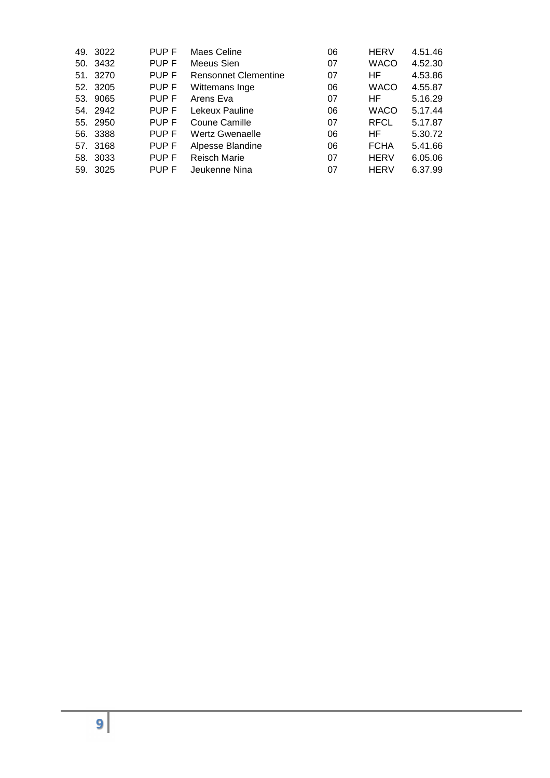| 49. 3022 | PUP F | Maes Celine                 | 06 | <b>HERV</b> | 4.51.46 |
|----------|-------|-----------------------------|----|-------------|---------|
| 50. 3432 | PUP F | Meeus Sien                  | 07 | <b>WACO</b> | 4.52.30 |
| 51. 3270 | PUP F | <b>Rensonnet Clementine</b> | 07 | HF          | 4.53.86 |
| 52. 3205 | PUP F | Wittemans Inge              | 06 | <b>WACO</b> | 4.55.87 |
| 53. 9065 | PUP F | Arens Eva                   | 07 | HF.         | 5.16.29 |
| 54. 2942 | PUP F | Lekeux Pauline              | 06 | <b>WACO</b> | 5.17.44 |
| 55. 2950 | PUP F | Coune Camille               | 07 | <b>RFCL</b> | 5.17.87 |
| 56. 3388 | PUP F | Wertz Gwenaelle             | 06 | HF.         | 5.30.72 |
| 57. 3168 | PUP F | Alpesse Blandine            | 06 | <b>FCHA</b> | 5.41.66 |
| 58. 3033 | PUP F | <b>Reisch Marie</b>         | 07 | <b>HERV</b> | 6.05.06 |
| 59. 3025 | PUP F | Jeukenne Nina               | 07 | <b>HERV</b> | 6.37.99 |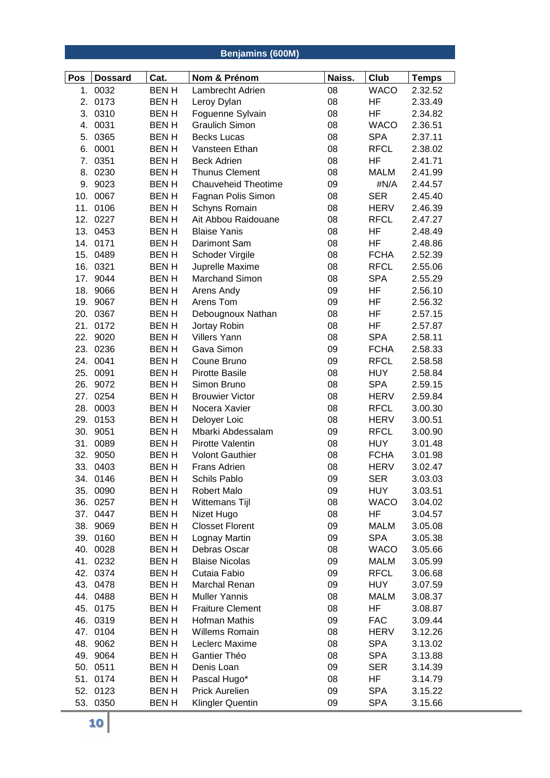## **Benjamins (600M)**

| Pos | <b>Dossard</b> | Cat.        | Nom & Prénom               | Naiss. | Club        | <b>Temps</b> |
|-----|----------------|-------------|----------------------------|--------|-------------|--------------|
|     | 1. 0032        | <b>BENH</b> | Lambrecht Adrien           | 08     | <b>WACO</b> | 2.32.52      |
| 2.  | 0173           | <b>BENH</b> | Leroy Dylan                | 08     | HF          | 2.33.49      |
| 3.  | 0310           | <b>BENH</b> | Foguenne Sylvain           | 08     | HF          | 2.34.82      |
| 4.  | 0031           | <b>BENH</b> | <b>Graulich Simon</b>      | 08     | <b>WACO</b> | 2.36.51      |
| 5.  | 0365           | <b>BENH</b> | <b>Becks Lucas</b>         | 08     | <b>SPA</b>  | 2.37.11      |
| 6.  | 0001           | <b>BENH</b> | Vansteen Ethan             | 08     | <b>RFCL</b> | 2.38.02      |
| 7.  | 0351           | <b>BENH</b> | <b>Beck Adrien</b>         | 08     | HF          | 2.41.71      |
|     | 8. 0230        | <b>BENH</b> | <b>Thunus Clement</b>      | 08     | <b>MALM</b> | 2.41.99      |
|     | 9. 9023        | <b>BENH</b> | <b>Chauveheid Theotime</b> | 09     | #N/A        | 2.44.57      |
|     | 10. 0067       | <b>BENH</b> | Fagnan Polis Simon         | 08     | <b>SER</b>  | 2.45.40      |
|     | 11. 0106       | <b>BENH</b> | Schyns Romain              | 08     | <b>HERV</b> | 2.46.39      |
|     | 12. 0227       | <b>BENH</b> | Ait Abbou Raidouane        | 08     | <b>RFCL</b> | 2.47.27      |
|     | 13. 0453       | <b>BENH</b> | <b>Blaise Yanis</b>        | 08     | <b>HF</b>   | 2.48.49      |
|     | 14. 0171       | <b>BENH</b> | Darimont Sam               | 08     | HF          | 2.48.86      |
|     | 15. 0489       | <b>BENH</b> | Schoder Virgile            | 08     | <b>FCHA</b> | 2.52.39      |
|     | 16. 0321       | <b>BENH</b> | Juprelle Maxime            | 08     | <b>RFCL</b> | 2.55.06      |
|     | 17. 9044       | <b>BENH</b> | <b>Marchand Simon</b>      | 08     | <b>SPA</b>  | 2.55.29      |
|     | 18. 9066       | <b>BENH</b> | Arens Andy                 | 09     | HF          | 2.56.10      |
|     | 19. 9067       | <b>BENH</b> | Arens Tom                  | 09     | HF          | 2.56.32      |
|     | 20. 0367       | <b>BENH</b> | Debougnoux Nathan          | 08     | HF          | 2.57.15      |
| 21. | 0172           | <b>BENH</b> | Jortay Robin               | 08     | HF          | 2.57.87      |
|     | 22. 9020       | <b>BENH</b> | <b>Villers Yann</b>        | 08     | <b>SPA</b>  | 2.58.11      |
|     | 23. 0236       | <b>BENH</b> | Gava Simon                 | 09     | <b>FCHA</b> | 2.58.33      |
|     | 24. 0041       | <b>BENH</b> | Coune Bruno                | 09     | <b>RFCL</b> | 2.58.58      |
|     | 25. 0091       | <b>BENH</b> | <b>Pirotte Basile</b>      | 08     | <b>HUY</b>  | 2.58.84      |
|     | 26. 9072       | <b>BENH</b> | Simon Bruno                | 08     | <b>SPA</b>  | 2.59.15      |
|     | 27. 0254       | <b>BENH</b> | <b>Brouwier Victor</b>     | 08     | <b>HERV</b> | 2.59.84      |
|     | 28. 0003       | <b>BENH</b> | Nocera Xavier              | 08     | <b>RFCL</b> | 3.00.30      |
|     | 29. 0153       | <b>BENH</b> | Deloyer Loic               | 08     | <b>HERV</b> | 3.00.51      |
|     | 30. 9051       | <b>BENH</b> | Mbarki Abdessalam          | 09     | <b>RFCL</b> | 3.00.90      |
|     | 31. 0089       | <b>BENH</b> | Pirotte Valentin           | 08     | <b>HUY</b>  | 3.01.48      |
|     | 32. 9050       | <b>BENH</b> | <b>Volont Gauthier</b>     | 08     | <b>FCHA</b> | 3.01.98      |
| 33. | 0403           | <b>BENH</b> | <b>Frans Adrien</b>        | 08     | <b>HERV</b> | 3.02.47      |
| 34. | 0146           | <b>BENH</b> | Schils Pablo               | 09     | <b>SER</b>  | 3.03.03      |
|     | 35. 0090       | <b>BENH</b> | <b>Robert Malo</b>         | 09     | <b>HUY</b>  | 3.03.51      |
|     | 36. 0257       | <b>BENH</b> | Wittemans Tijl             | 08     | <b>WACO</b> | 3.04.02      |
|     | 37. 0447       | <b>BENH</b> | Nizet Hugo                 | 08     | HF          | 3.04.57      |
|     | 38. 9069       | <b>BENH</b> | <b>Closset Florent</b>     | 09     | <b>MALM</b> | 3.05.08      |
|     | 39. 0160       | <b>BENH</b> | Lognay Martin              | 09     | <b>SPA</b>  | 3.05.38      |
|     | 40. 0028       | <b>BENH</b> | Debras Oscar               | 08     | <b>WACO</b> | 3.05.66      |
|     | 41. 0232       | <b>BENH</b> | <b>Blaise Nicolas</b>      | 09     | <b>MALM</b> | 3.05.99      |
|     | 42. 0374       | <b>BENH</b> | Cutaia Fabio               | 09     | <b>RFCL</b> | 3.06.68      |
|     | 43. 0478       | <b>BENH</b> | Marchal Renan              | 09     | <b>HUY</b>  | 3.07.59      |
|     | 44. 0488       | <b>BENH</b> | <b>Muller Yannis</b>       | 08     | <b>MALM</b> | 3.08.37      |
|     | 45. 0175       | <b>BENH</b> | <b>Fraiture Clement</b>    | 08     | HF          | 3.08.87      |
|     | 46. 0319       | <b>BENH</b> | Hofman Mathis              | 09     | <b>FAC</b>  | 3.09.44      |
|     | 47. 0104       | <b>BENH</b> | <b>Willems Romain</b>      | 08     | <b>HERV</b> | 3.12.26      |
|     | 48. 9062       | <b>BENH</b> | Leclerc Maxime             | 08     | <b>SPA</b>  | 3.13.02      |
|     | 49. 9064       | <b>BENH</b> | Gantier Théo               | 08     | <b>SPA</b>  | 3.13.88      |
|     | 50. 0511       | <b>BENH</b> | Denis Loan                 | 09     | <b>SER</b>  | 3.14.39      |
|     | 51. 0174       | <b>BENH</b> | Pascal Hugo*               | 08     | HF          | 3.14.79      |
|     | 52. 0123       | <b>BENH</b> | <b>Prick Aurelien</b>      | 09     | <b>SPA</b>  | 3.15.22      |
|     | 53. 0350       | <b>BENH</b> | <b>Klingler Quentin</b>    | 09     | <b>SPA</b>  | 3.15.66      |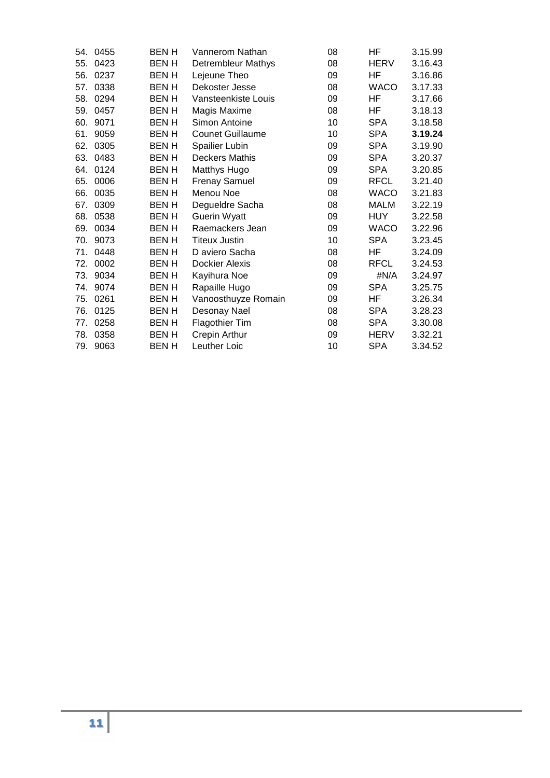| 54. | 0455 | BEN H        | Vannerom Nathan         | 08 | НF          | 3.15.99 |
|-----|------|--------------|-------------------------|----|-------------|---------|
| 55. | 0423 | <b>BENH</b>  | Detrembleur Mathys      | 08 | <b>HERV</b> | 3.16.43 |
| 56. | 0237 | <b>BEN H</b> | Lejeune Theo            | 09 | HF          | 3.16.86 |
| 57. | 0338 | BEN H        | Dekoster Jesse          | 08 | <b>WACO</b> | 3.17.33 |
| 58. | 0294 | <b>BEN H</b> | Vansteenkiste Louis     | 09 | HF          | 3.17.66 |
| 59. | 0457 | <b>BENH</b>  | Magis Maxime            | 08 | ΗF          | 3.18.13 |
| 60. | 9071 | <b>BENH</b>  | Simon Antoine           | 10 | <b>SPA</b>  | 3.18.58 |
| 61. | 9059 | BEN H        | <b>Counet Guillaume</b> | 10 | SPA         | 3.19.24 |
| 62. | 0305 | <b>BENH</b>  | Spailier Lubin          | 09 | <b>SPA</b>  | 3.19.90 |
| 63. | 0483 | BEN H        | <b>Deckers Mathis</b>   | 09 | <b>SPA</b>  | 3.20.37 |
| 64. | 0124 | <b>BENH</b>  | <b>Matthys Hugo</b>     | 09 | <b>SPA</b>  | 3.20.85 |
| 65. | 0006 | <b>BENH</b>  | <b>Frenay Samuel</b>    | 09 | <b>RFCL</b> | 3.21.40 |
| 66. | 0035 | BEN H        | Menou Noe               | 08 | <b>WACO</b> | 3.21.83 |
| 67. | 0309 | <b>BEN H</b> | Degueldre Sacha         | 08 | <b>MALM</b> | 3.22.19 |
| 68. | 0538 | <b>BENH</b>  | <b>Guerin Wyatt</b>     | 09 | <b>HUY</b>  | 3.22.58 |
| 69. | 0034 | <b>BENH</b>  | Raemackers Jean         | 09 | <b>WACO</b> | 3.22.96 |
| 70. | 9073 | <b>BENH</b>  | <b>Titeux Justin</b>    | 10 | <b>SPA</b>  | 3.23.45 |
| 71. | 0448 | <b>BENH</b>  | D aviero Sacha          | 08 | HF          | 3.24.09 |
| 72. | 0002 | BEN H        | <b>Dockier Alexis</b>   | 08 | <b>RFCL</b> | 3.24.53 |
| 73. | 9034 | <b>BEN H</b> | Kayihura Noe            | 09 | #N/A        | 3.24.97 |
| 74. | 9074 | <b>BENH</b>  | Rapaille Hugo           | 09 | <b>SPA</b>  | 3.25.75 |
| 75. | 0261 | BEN H        | Vanoosthuyze Romain     | 09 | HF          | 3.26.34 |
| 76. | 0125 | <b>BEN H</b> | Desonay Nael            | 08 | <b>SPA</b>  | 3.28.23 |
| 77. | 0258 | <b>BEN H</b> | Flagothier Tim          | 08 | <b>SPA</b>  | 3.30.08 |
| 78. | 0358 | <b>BEN H</b> | Crepin Arthur           | 09 | HERV        | 3.32.21 |
| 79. | 9063 | BEN H        | Leuther Loic            | 10 | <b>SPA</b>  | 3.34.52 |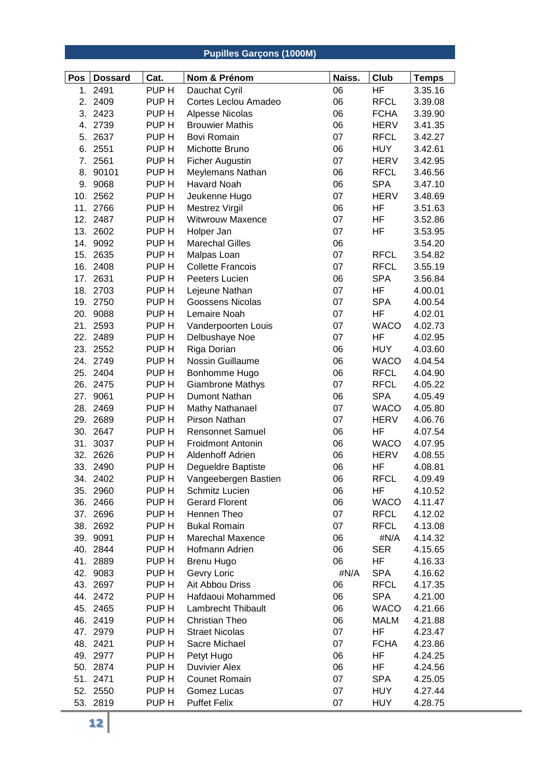|     |                |                  | <b>Pupilles Garçons (1000M)</b>       |        |             |                         |
|-----|----------------|------------------|---------------------------------------|--------|-------------|-------------------------|
| Pos | <b>Dossard</b> | Cat.             | Nom & Prénom                          | Naiss. | Club        |                         |
|     | 1. 2491        | PUP <sub>H</sub> |                                       | 06     | HF          | <b>Temps</b><br>3.35.16 |
| 2.  | 2409           | PUP <sub>H</sub> | Dauchat Cyril<br>Cortes Leclou Amadeo | 06     | <b>RFCL</b> | 3.39.08                 |
| 3.  | 2423           | PUP <sub>H</sub> | Alpesse Nicolas                       | 06     | <b>FCHA</b> | 3.39.90                 |
| 4.  | 2739           | PUP <sub>H</sub> | <b>Brouwier Mathis</b>                | 06     | HERV        | 3.41.35                 |
|     | 5. 2637        | PUP <sub>H</sub> | <b>Bovi Romain</b>                    | 07     | <b>RFCL</b> | 3.42.27                 |
|     | 6. 2551        | PUP <sub>H</sub> | Michotte Bruno                        | 06     | <b>HUY</b>  | 3.42.61                 |
|     | 7. 2561        | PUP H            | <b>Ficher Augustin</b>                | 07     | <b>HERV</b> | 3.42.95                 |
| 8.  | 90101          | PUP <sub>H</sub> | Meylemans Nathan                      | 06     | <b>RFCL</b> | 3.46.56                 |
| 9.  | 9068           | PUP <sub>H</sub> | <b>Havard Noah</b>                    | 06     | <b>SPA</b>  | 3.47.10                 |
|     | 10. 2562       | PUP <sub>H</sub> | Jeukenne Hugo                         | 07     | <b>HERV</b> | 3.48.69                 |
|     | 11. 2766       | PUP <sub>H</sub> | <b>Mestrez Virgil</b>                 | 06     | HF          | 3.51.63                 |
|     | 12. 2487       | PUP <sub>H</sub> | Witwrouw Maxence                      | 07     | HF          | 3.52.86                 |
|     | 13. 2602       | PUP H            | Holper Jan                            | 07     | HF          | 3.53.95                 |
|     | 14. 9092       | PUP <sub>H</sub> | <b>Marechal Gilles</b>                | 06     |             | 3.54.20                 |
|     | 15. 2635       | PUP <sub>H</sub> | Malpas Loan                           | 07     | <b>RFCL</b> | 3.54.82                 |
|     | 16. 2408       | PUP <sub>H</sub> | <b>Collette Francois</b>              | 07     | <b>RFCL</b> | 3.55.19                 |
|     | 17. 2631       | PUP <sub>H</sub> | Peeters Lucien                        | 06     | <b>SPA</b>  | 3.56.84                 |
|     | 18. 2703       | PUP <sub>H</sub> | Lejeune Nathan                        | 07     | HF          | 4.00.01                 |
|     | 19. 2750       | PUP <sub>H</sub> | Goossens Nicolas                      | 07     | <b>SPA</b>  | 4.00.54                 |
|     | 20. 9088       | PUP <sub>H</sub> | Lemaire Noah                          | 07     | HF          | 4.02.01                 |
|     | 21. 2593       | PUP <sub>H</sub> | Vanderpoorten Louis                   | 07     | <b>WACO</b> | 4.02.73                 |
|     | 22. 2489       | PUP <sub>H</sub> | Delbushaye Noe                        | 07     | HF          | 4.02.95                 |
|     | 23. 2552       | PUP <sub>H</sub> | Riga Dorian                           | 06     | <b>HUY</b>  | 4.03.60                 |
|     | 24. 2749       | PUP <sub>H</sub> | Nossin Guillaume                      | 06     | <b>WACO</b> | 4.04.54                 |
|     | 25. 2404       | PUP <sub>H</sub> | Bonhomme Hugo                         | 06     | <b>RFCL</b> | 4.04.90                 |
|     | 26. 2475       | PUP H            | <b>Giambrone Mathys</b>               | 07     | <b>RFCL</b> | 4.05.22                 |
| 27. | 9061           | PUP <sub>H</sub> | Dumont Nathan                         | 06     | <b>SPA</b>  | 4.05.49                 |
| 28. | 2469           | PUP <sub>H</sub> | <b>Mathy Nathanael</b>                | 07     | <b>WACO</b> | 4.05.80                 |
|     | 29. 2689       | PUP <sub>H</sub> | Pirson Nathan                         | 07     | <b>HERV</b> | 4.06.76                 |
|     | 30. 2647       | PUP H            | <b>Rensonnet Samuel</b>               | 06     | HF          | 4.07.54                 |
|     | 31. 3037       | PUP <sub>H</sub> | <b>Froidmont Antonin</b>              | 06     | <b>WACO</b> | 4.07.95                 |
|     | 32. 2626       | PUP <sub>H</sub> | Aldenhoff Adrien                      | 06     | <b>HERV</b> | 4.08.55                 |
|     | 33. 2490       | PUP H            | Degueldre Baptiste                    | 06     | HF          | 4.08.81                 |
|     | 34. 2402       | PUP H            | Vangeebergen Bastien                  | 06     | <b>RFCL</b> | 4.09.49                 |
|     | 35. 2960       | PUP <sub>H</sub> | Schmitz Lucien                        | 06     | HF          | 4.10.52                 |
|     | 36. 2466       | PUP <sub>H</sub> | <b>Gerard Florent</b>                 | 06     | <b>WACO</b> | 4.11.47                 |
|     | 37. 2696       | PUP H            | Hennen Theo                           | 07     | RFCL        | 4.12.02                 |
|     | 38. 2692       | PUP <sub>H</sub> | <b>Bukal Romain</b>                   | 07     | <b>RFCL</b> | 4.13.08                 |
|     | 39. 9091       | PUP H            | <b>Marechal Maxence</b>               | 06     | #N/A        | 4.14.32                 |
|     | 40. 2844       | PUP H            | Hofmann Adrien                        | 06     | <b>SER</b>  | 4.15.65                 |
|     | 41. 2889       | PUP <sub>H</sub> | <b>Brenu Hugo</b>                     | 06     | HF          | 4.16.33                 |
|     | 42. 9083       | PUP <sub>H</sub> | Gevry Loric                           | #N/A   | <b>SPA</b>  | 4.16.62                 |
|     | 43. 2697       | PUP <sub>H</sub> | Ait Abbou Driss                       | 06     | <b>RFCL</b> | 4.17.35                 |
|     | 44. 2472       | PUP H            | Hafdaoui Mohammed                     | 06     | <b>SPA</b>  | 4.21.00                 |
|     | 45. 2465       | PUP H            | Lambrecht Thibault                    | 06     | <b>WACO</b> | 4.21.66                 |
|     | 46. 2419       | PUP H            | <b>Christian Theo</b>                 | 06     | <b>MALM</b> | 4.21.88                 |
|     | 47. 2979       | PUP H            | <b>Straet Nicolas</b>                 | 07     | HF          | 4.23.47                 |
|     | 48. 2421       | PUP <sub>H</sub> | Sacre Michael                         | 07     | <b>FCHA</b> | 4.23.86                 |
|     | 49. 2977       | PUP <sub>H</sub> | Petyt Hugo                            | 06     | HF          | 4.24.25                 |
|     | 50. 2874       | PUP H            | <b>Duvivier Alex</b>                  | 06     | HF          | 4.24.56                 |
|     | 51. 2471       | PUP H            | <b>Counet Romain</b>                  | 07     | <b>SPA</b>  | 4.25.05                 |
|     | 52. 2550       | PUP H            | Gomez Lucas                           | 07     | <b>HUY</b>  | 4.27.44                 |
|     | 53. 2819       | PUP H            | <b>Puffet Felix</b>                   | 07     | <b>HUY</b>  | 4.28.75                 |
|     | 12             |                  |                                       |        |             |                         |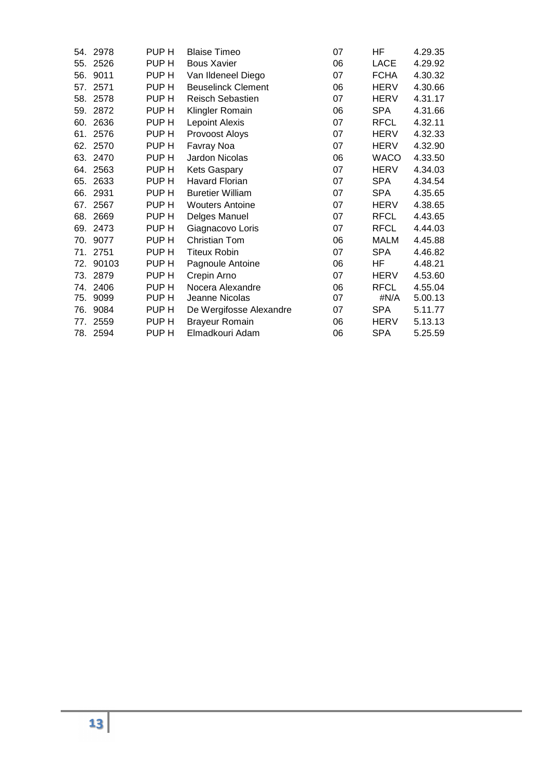| 54. | 2978     | PUP H | <b>Blaise Timeo</b>       | 07 | ΗF          | 4.29.35 |
|-----|----------|-------|---------------------------|----|-------------|---------|
| 55. | 2526     | PUP H | <b>Bous Xavier</b>        | 06 | <b>LACE</b> | 4.29.92 |
| 56. | 9011     | PUP H | Van Ildeneel Diego        | 07 | <b>FCHA</b> | 4.30.32 |
| 57. | 2571     | PUP H | <b>Beuselinck Clement</b> | 06 | <b>HERV</b> | 4.30.66 |
|     | 58. 2578 | PUP H | Reisch Sebastien          | 07 | HERV        | 4.31.17 |
| 59. | 2872     | PUP H | Klingler Romain           | 06 | <b>SPA</b>  | 4.31.66 |
| 60. | 2636     | PUP H | <b>Lepoint Alexis</b>     | 07 | <b>RFCL</b> | 4.32.11 |
| 61. | 2576     | PUP H | Provoost Aloys            | 07 | <b>HERV</b> | 4.32.33 |
| 62. | 2570     | PUP H | Favray Noa                | 07 | <b>HERV</b> | 4.32.90 |
| 63. | 2470     | PUP H | Jardon Nicolas            | 06 | <b>WACO</b> | 4.33.50 |
| 64. | 2563     | PUP H | Kets Gaspary              | 07 | <b>HERV</b> | 4.34.03 |
| 65. | 2633     | PUP H | <b>Havard Florian</b>     | 07 | <b>SPA</b>  | 4.34.54 |
|     | 66. 2931 | PUP H | <b>Buretier William</b>   | 07 | <b>SPA</b>  | 4.35.65 |
| 67. | 2567     | PUP H | <b>Wouters Antoine</b>    | 07 | HERV        | 4.38.65 |
|     | 68. 2669 | PUP H | Delges Manuel             | 07 | <b>RFCL</b> | 4.43.65 |
| 69. | 2473     | PUP H | Giagnacovo Loris          | 07 | <b>RFCL</b> | 4.44.03 |
| 70. | 9077     | PUP H | <b>Christian Tom</b>      | 06 | MALM        | 4.45.88 |
| 71. | 2751     | PUP H | <b>Titeux Robin</b>       | 07 | <b>SPA</b>  | 4.46.82 |
| 72. | 90103    | PUP H | Pagnoule Antoine          | 06 | ΗF          | 4.48.21 |
|     | 73. 2879 | PUP H | Crepin Arno               | 07 | <b>HERV</b> | 4.53.60 |
|     | 74. 2406 | PUP H | Nocera Alexandre          | 06 | <b>RFCL</b> | 4.55.04 |
| 75. | 9099     | PUP H | Jeanne Nicolas            | 07 | #N/A        | 5.00.13 |
| 76. | 9084     | PUP H | De Wergifosse Alexandre   | 07 | <b>SPA</b>  | 5.11.77 |
| 77. | 2559     | PUP H | <b>Brayeur Romain</b>     | 06 | HERV        | 5.13.13 |
|     | 78. 2594 | PUP H | Elmadkouri Adam           | 06 | <b>SPA</b>  | 5.25.59 |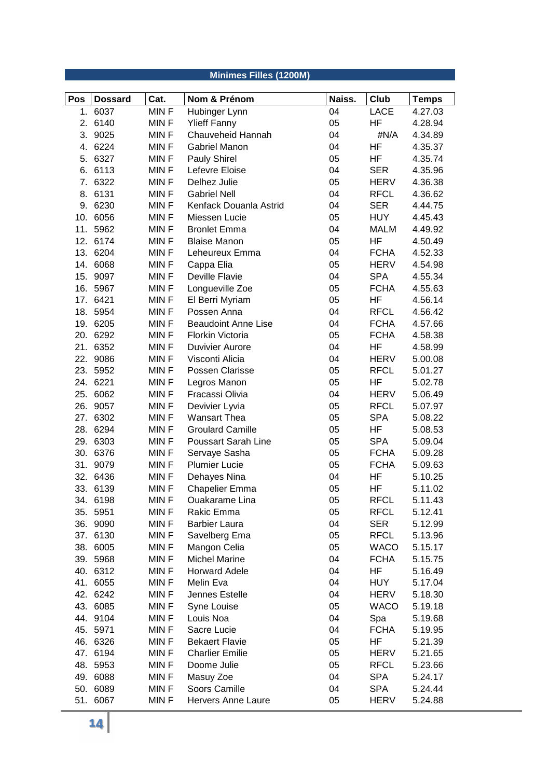|     |                |             | Minimes Filles (1200M)     |        |             |              |
|-----|----------------|-------------|----------------------------|--------|-------------|--------------|
|     |                |             |                            |        |             |              |
| Pos | <b>Dossard</b> | Cat.        | Nom & Prénom               | Naiss. | Club        | <b>Temps</b> |
|     | 1. 6037        | MINF        | Hubinger Lynn              | 04     | <b>LACE</b> | 4.27.03      |
|     | 2. 6140        | MIN F       | <b>Ylieff Fanny</b>        | 05     | HF          | 4.28.94      |
|     | 3. 9025        | <b>MINF</b> | Chauveheid Hannah          | 04     | #N/A        | 4.34.89      |
|     | 4. 6224        | <b>MINF</b> | Gabriel Manon              | 04     | <b>HF</b>   | 4.35.37      |
| 5.  | 6327           | <b>MINF</b> | Pauly Shirel               | 05     | HF          | 4.35.74      |
| 6.  | 6113           | <b>MINF</b> | Lefevre Eloise             | 04     | <b>SER</b>  | 4.35.96      |
| 7.  | 6322           | <b>MINF</b> | Delhez Julie               | 05     | HERV        | 4.36.38      |
| 8.  | 6131           | <b>MINF</b> | <b>Gabriel Nell</b>        | 04     | <b>RFCL</b> | 4.36.62      |
|     | 9. 6230        | <b>MINF</b> | Kenfack Douanla Astrid     | 04     | <b>SER</b>  | 4.44.75      |
|     | 10. 6056       | MINF        | Miessen Lucie              | 05     | <b>HUY</b>  | 4.45.43      |
| 11. | 5962           | <b>MINF</b> | <b>Bronlet Emma</b>        | 04     | <b>MALM</b> | 4.49.92      |
|     | 12. 6174       | <b>MINF</b> | <b>Blaise Manon</b>        | 05     | HF          | 4.50.49      |
|     | 13. 6204       | <b>MINF</b> | Leheureux Emma             | 04     | <b>FCHA</b> | 4.52.33      |
| 14. | 6068           | <b>MINF</b> | Cappa Elia                 | 05     | HERV        | 4.54.98      |
| 15. | 9097           | <b>MINF</b> | Deville Flavie             | 04     | <b>SPA</b>  | 4.55.34      |
|     | 16. 5967       | <b>MINF</b> | Longueville Zoe            | 05     | <b>FCHA</b> | 4.55.63      |
|     | 17. 6421       | <b>MINF</b> | El Berri Myriam            | 05     | HF          | 4.56.14      |
|     | 18. 5954       | MIN F       | Possen Anna                | 04     | <b>RFCL</b> | 4.56.42      |
|     | 19. 6205       | <b>MINF</b> | <b>Beaudoint Anne Lise</b> | 04     | <b>FCHA</b> | 4.57.66      |
| 20. | 6292           | <b>MINF</b> | Florkin Victoria           | 05     | <b>FCHA</b> | 4.58.38      |
| 21. | 6352           | <b>MINF</b> | <b>Duvivier Aurore</b>     | 04     | <b>HF</b>   | 4.58.99      |
| 22. | 9086           | <b>MINF</b> | Visconti Alicia            | 04     | <b>HERV</b> | 5.00.08      |
| 23. | 5952           | <b>MINF</b> | Possen Clarisse            | 05     | <b>RFCL</b> | 5.01.27      |
|     | 24. 6221       | <b>MINF</b> | Legros Manon               | 05     | HF          | 5.02.78      |
|     | 25. 6062       | <b>MINF</b> | Fracassi Olivia            | 04     | <b>HERV</b> | 5.06.49      |
| 26. | 9057           | MIN F       | Devivier Lyvia             | 05     | <b>RFCL</b> | 5.07.97      |
|     | 27. 6302       | <b>MINF</b> | <b>Wansart Thea</b>        | 05     | <b>SPA</b>  | 5.08.22      |
|     | 28. 6294       | <b>MINF</b> | <b>Groulard Camille</b>    | 05     | HF          | 5.08.53      |
| 29. | 6303           | <b>MINF</b> | <b>Poussart Sarah Line</b> | 05     | <b>SPA</b>  | 5.09.04      |
| 30. | 6376           | <b>MINF</b> | Servaye Sasha              | 05     | <b>FCHA</b> | 5.09.28      |
| 31. | 9079           | <b>MINF</b> | <b>Plumier Lucie</b>       | 05     | <b>FCHA</b> | 5.09.63      |
|     | 32. 6436       | <b>MINF</b> | Dehayes Nina               | 04     | HF          | 5.10.25      |
|     | 33. 6139       | <b>MINF</b> | Chapelier Emma             | 05     | ΗF          | 5.11.02      |
|     | 34. 6198       | <b>MINF</b> | Ouakarame Lina             | 05     | <b>RFCL</b> | 5.11.43      |
|     | 35. 5951       | MIN F       | Rakic Emma                 | 05     | <b>RFCL</b> | 5.12.41      |
|     | 36. 9090       | <b>MINF</b> | <b>Barbier Laura</b>       | 04     | SER         | 5.12.99      |
|     | 37. 6130       | <b>MINF</b> | Savelberg Ema              | 05     | <b>RFCL</b> | 5.13.96      |
|     | 38. 6005       | <b>MINF</b> | Mangon Celia               | 05     | <b>WACO</b> | 5.15.17      |
|     | 39. 5968       | <b>MINF</b> | <b>Michel Marine</b>       | 04     | <b>FCHA</b> | 5.15.75      |
|     | 40. 6312       | MIN F       | <b>Horward Adele</b>       | 04     | HF          | 5.16.49      |
|     | 41. 6055       | <b>MINF</b> | Melin Eva                  | 04     | <b>HUY</b>  | 5.17.04      |
|     | 42. 6242       | MIN F       | Jennes Estelle             | 04     | HERV        | 5.18.30      |
|     | 43. 6085       | <b>MINF</b> | Syne Louise                | 05     | <b>WACO</b> | 5.19.18      |
|     | 44. 9104       | MIN F       | Louis Noa                  | 04     | Spa         | 5.19.68      |
|     | 45. 5971       | <b>MINF</b> | Sacre Lucie                | 04     | <b>FCHA</b> | 5.19.95      |
|     | 46. 6326       | <b>MINF</b> | <b>Bekaert Flavie</b>      | 05     | ΗF          | 5.21.39      |
|     | 47. 6194       | MIN F       | <b>Charlier Emilie</b>     | 05     | <b>HERV</b> | 5.21.65      |
|     | 48. 5953       | MIN F       | Doome Julie                | 05     | <b>RFCL</b> | 5.23.66      |
|     | 49. 6088       | <b>MINF</b> | Masuy Zoe                  | 04     | SPA         | 5.24.17      |
|     | 50. 6089       | <b>MINF</b> | Soors Camille              | 04     | SPA         | 5.24.44      |
|     | 51. 6067       | MIN F       | Hervers Anne Laure         | 05     | HERV        | 5.24.88      |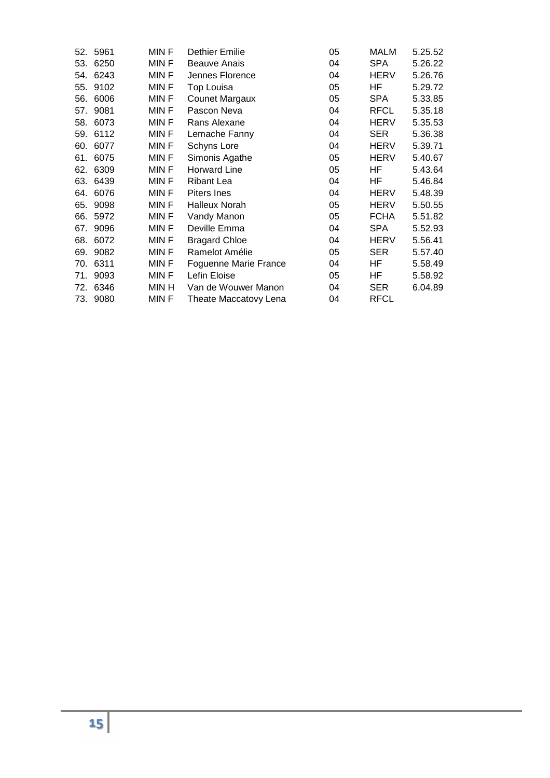| 52. | 5961     | MIN F       | Dethier Emilie        | 05 | MALM        | 5.25.52 |
|-----|----------|-------------|-----------------------|----|-------------|---------|
| 53. | 6250     | MIN F       | <b>Beauve Anais</b>   | 04 | <b>SPA</b>  | 5.26.22 |
| 54. | 6243     | MIN F       | Jennes Florence       | 04 | <b>HERV</b> | 5.26.76 |
| 55. | 9102     | MIN F       | Top Louisa            | 05 | ΗF          | 5.29.72 |
| 56. | 6006     | MIN F       | <b>Counet Margaux</b> | 05 | <b>SPA</b>  | 5.33.85 |
| 57. | 9081     | MIN F       | Pascon Neva           | 04 | <b>RFCL</b> | 5.35.18 |
| 58. | 6073     | MIN F       | Rans Alexane          | 04 | <b>HERV</b> | 5.35.53 |
| 59. | 6112     | MIN F       | Lemache Fanny         | 04 | <b>SER</b>  | 5.36.38 |
| 60. | 6077     | MIN F       | Schyns Lore           | 04 | HERV        | 5.39.71 |
| 61. | 6075     | MIN F       | Simonis Agathe        | 05 | <b>HERV</b> | 5.40.67 |
| 62. | 6309     | <b>MINF</b> | <b>Horward Line</b>   | 05 | HF          | 5.43.64 |
| 63. | 6439     | MIN F       | Ribant Lea            | 04 | HF          | 5.46.84 |
| 64. | 6076     | MIN F       | Piters Ines           | 04 | HERV        | 5.48.39 |
| 65. | 9098     | MIN F       | <b>Halleux Norah</b>  | 05 | <b>HERV</b> | 5.50.55 |
| 66. | 5972     | MIN F       | Vandy Manon           | 05 | <b>FCHA</b> | 5.51.82 |
| 67. | 9096     | MIN F       | Deville Emma          | 04 | <b>SPA</b>  | 5.52.93 |
| 68. | 6072     | MIN F       | <b>Bragard Chloe</b>  | 04 | HERV        | 5.56.41 |
| 69. | 9082     | MIN F       | Ramelot Amélie        | 05 | <b>SER</b>  | 5.57.40 |
| 70. | 6311     | MIN F       | Foguenne Marie France | 04 | HF          | 5.58.49 |
| 71. | 9093     | MIN F       | Lefin Eloise          | 05 | HF          | 5.58.92 |
| 72. | 6346     | MIN H       | Van de Wouwer Manon   | 04 | <b>SER</b>  | 6.04.89 |
|     | 73. 9080 | MIN F       | Theate Maccatovy Lena | 04 | RFCL        |         |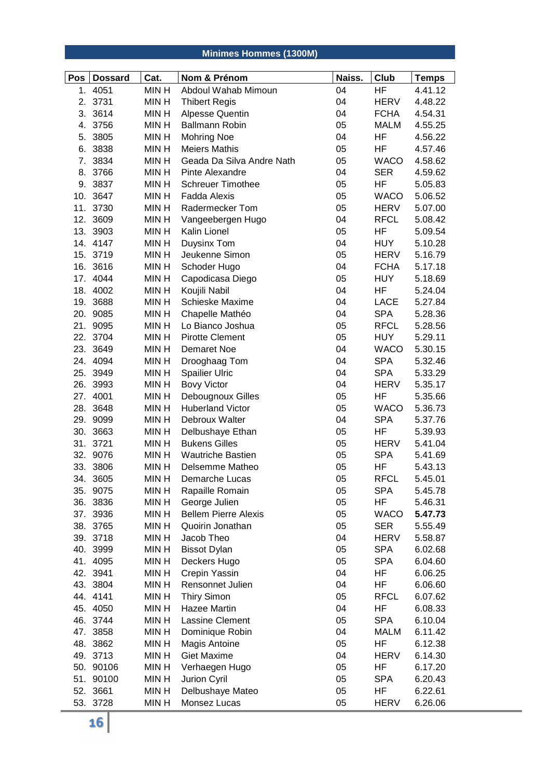# **Minimes Hommes (1300M)**

| Pos | <b>Dossard</b> | Cat.        | Nom & Prénom                | Naiss. | Club        | <b>Temps</b> |
|-----|----------------|-------------|-----------------------------|--------|-------------|--------------|
| 1.  | 4051           | MIN H       | Abdoul Wahab Mimoun         | 04     | <b>HF</b>   | 4.41.12      |
|     | 2. 3731        | <b>MINH</b> | <b>Thibert Regis</b>        | 04     | <b>HERV</b> | 4.48.22      |
|     | 3. 3614        | <b>MINH</b> | Alpesse Quentin             | 04     | <b>FCHA</b> | 4.54.31      |
|     | 4. 3756        | <b>MINH</b> | <b>Ballmann Robin</b>       | 05     | <b>MALM</b> | 4.55.25      |
| 5.  | 3805           | <b>MINH</b> | <b>Mohring Noe</b>          | 04     | HF          | 4.56.22      |
| 6.  | 3838           | <b>MINH</b> | <b>Meiers Mathis</b>        | 05     | HF          | 4.57.46      |
| 7.  | 3834           | <b>MINH</b> | Geada Da Silva Andre Nath   | 05     | <b>WACO</b> | 4.58.62      |
|     | 8. 3766        | <b>MINH</b> | Pinte Alexandre             | 04     | <b>SER</b>  | 4.59.62      |
|     | 9. 3837        | MIN H       | <b>Schreuer Timothee</b>    | 05     | HF          | 5.05.83      |
|     | 10. 3647       | <b>MINH</b> | <b>Fadda Alexis</b>         | 05     | <b>WACO</b> | 5.06.52      |
|     | 11. 3730       | MIN H       | Radermecker Tom             | 05     | HERV        | 5.07.00      |
|     | 12. 3609       | <b>MINH</b> | Vangeebergen Hugo           | 04     | <b>RFCL</b> | 5.08.42      |
|     | 13. 3903       | <b>MINH</b> | Kalin Lionel                | 05     | HF          | 5.09.54      |
|     | 14. 4147       | MIN H       | Duysinx Tom                 | 04     | <b>HUY</b>  | 5.10.28      |
|     | 15. 3719       | MIN H       | Jeukenne Simon              | 05     | HERV        | 5.16.79      |
|     | 16. 3616       | <b>MINH</b> | Schoder Hugo                | 04     | <b>FCHA</b> | 5.17.18      |
| 17. | 4044           | <b>MINH</b> | Capodicasa Diego            | 05     | <b>HUY</b>  | 5.18.69      |
|     | 18. 4002       | <b>MINH</b> | Koujili Nabil               | 04     | HF          | 5.24.04      |
|     | 19. 3688       | <b>MINH</b> | <b>Schieske Maxime</b>      | 04     | LACE        | 5.27.84      |
|     | 20. 9085       | <b>MINH</b> | Chapelle Mathéo             | 04     | <b>SPA</b>  | 5.28.36      |
| 21. | 9095           | <b>MINH</b> | Lo Bianco Joshua            | 05     | <b>RFCL</b> | 5.28.56      |
|     | 22. 3704       | <b>MINH</b> | <b>Pirotte Clement</b>      | 05     | <b>HUY</b>  | 5.29.11      |
|     | 23. 3649       | <b>MINH</b> | Demaret Noe                 | 04     | <b>WACO</b> | 5.30.15      |
|     | 24. 4094       | <b>MINH</b> | Drooghaag Tom               | 04     | <b>SPA</b>  | 5.32.46      |
|     | 25. 3949       | <b>MINH</b> | <b>Spailier Ulric</b>       | 04     | <b>SPA</b>  | 5.33.29      |
|     | 26. 3993       | <b>MINH</b> | <b>Bovy Victor</b>          | 04     | <b>HERV</b> | 5.35.17      |
|     | 27. 4001       | <b>MINH</b> | Debougnoux Gilles           | 05     | HF          | 5.35.66      |
|     | 28. 3648       | <b>MINH</b> | <b>Huberland Victor</b>     | 05     | <b>WACO</b> | 5.36.73      |
|     | 29. 9099       | <b>MINH</b> | Debroux Walter              | 04     | <b>SPA</b>  | 5.37.76      |
|     | 30. 3663       | <b>MINH</b> | Delbushaye Ethan            | 05     | HF          | 5.39.93      |
|     | 31. 3721       | <b>MINH</b> | <b>Bukens Gilles</b>        | 05     | <b>HERV</b> | 5.41.04      |
|     | 32. 9076       | <b>MINH</b> | <b>Wautriche Bastien</b>    | 05     | <b>SPA</b>  | 5.41.69      |
|     | 33. 3806       | <b>MINH</b> | Delsemme Matheo             | 05     | HF          | 5.43.13      |
|     | 34. 3605       | <b>MINH</b> | Demarche Lucas              | 05     | <b>RFCL</b> | 5.45.01      |
|     | 35. 9075       | <b>MINH</b> | Rapaille Romain             | 05     | <b>SPA</b>  | 5.45.78      |
|     | 36. 3836       | <b>MINH</b> | George Julien               | 05     | HF          | 5.46.31      |
|     | 37. 3936       | <b>MINH</b> | <b>Bellem Pierre Alexis</b> | 05     | <b>WACO</b> | 5.47.73      |
|     | 38. 3765       | <b>MINH</b> | Quoirin Jonathan            | 05     | <b>SER</b>  | 5.55.49      |
|     | 39. 3718       | MIN H       | Jacob Theo                  | 04     | HERV        | 5.58.87      |
|     | 40. 3999       | <b>MINH</b> | <b>Bissot Dylan</b>         | 05     | <b>SPA</b>  | 6.02.68      |
|     | 41. 4095       | MIN H       | Deckers Hugo                | 05     | <b>SPA</b>  | 6.04.60      |
|     | 42. 3941       | <b>MINH</b> | Crepin Yassin               | 04     | HF          | 6.06.25      |
|     | 43. 3804       | <b>MINH</b> | Rensonnet Julien            | 04     | ΗF          | 6.06.60      |
|     | 44. 4141       | <b>MINH</b> | <b>Thiry Simon</b>          | 05     | <b>RFCL</b> | 6.07.62      |
|     | 45. 4050       | MIN H       | Hazee Martin                | 04     | ΗF          | 6.08.33      |
|     | 46. 3744       | <b>MINH</b> | Lassine Clement             | 05     | <b>SPA</b>  | 6.10.04      |
|     | 47. 3858       | MIN H       | Dominique Robin             | 04     | <b>MALM</b> | 6.11.42      |
|     | 48. 3862       | <b>MINH</b> | Magis Antoine               | 05     | ΗF          | 6.12.38      |
|     | 49. 3713       | MIN H       | <b>Giet Maxime</b>          | 04     | <b>HERV</b> | 6.14.30      |
|     | 50. 90106      | <b>MINH</b> | Verhaegen Hugo              | 05     | ΗF          | 6.17.20      |
|     | 51. 90100      | <b>MINH</b> | Jurion Cyril                | 05     | <b>SPA</b>  | 6.20.43      |
|     | 52. 3661       | MIN H       | Delbushaye Mateo            | 05     | ΗF          | 6.22.61      |
|     | 53. 3728       | MIN H       | Monsez Lucas                | 05     | <b>HERV</b> | 6.26.06      |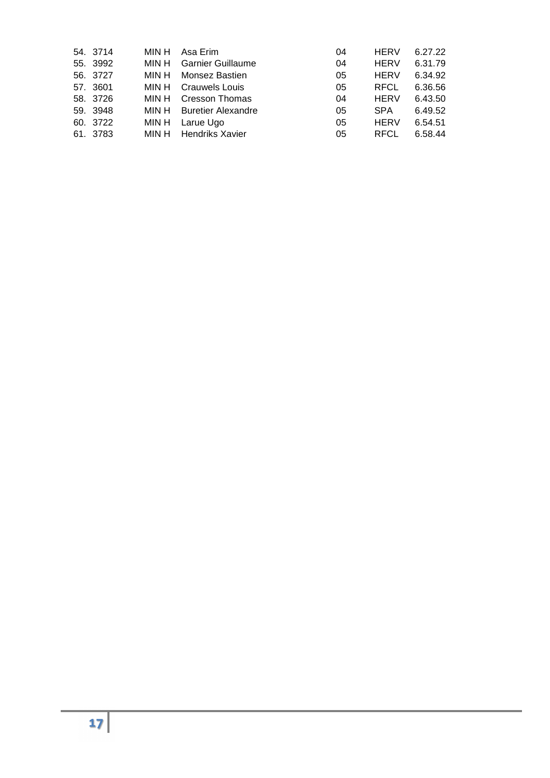| 54. 3714 | MIN H | Asa Erim                        | 04 | <b>HERV</b> | 6.27.22 |
|----------|-------|---------------------------------|----|-------------|---------|
| 55. 3992 | MIN H | <b>Garnier Guillaume</b>        | 04 | <b>HERV</b> | 6.31.79 |
| 56. 3727 | MIN H | Monsez Bastien                  | 05 | <b>HERV</b> | 6.34.92 |
| 57. 3601 |       | MIN H Crauwels Louis            | 05 | <b>RFCL</b> | 6.36.56 |
| 58. 3726 | MIN H | <b>Cresson Thomas</b>           | 04 | <b>HERV</b> | 6.43.50 |
| 59. 3948 |       | <b>MIN H</b> Buretier Alexandre | 05 | <b>SPA</b>  | 6.49.52 |
| 60. 3722 |       | MIN H Larue Ugo                 | 05 | <b>HERV</b> | 6.54.51 |
| 61. 3783 |       | MIN H Hendriks Xavier           | 05 | <b>RFCL</b> | 6.58.44 |